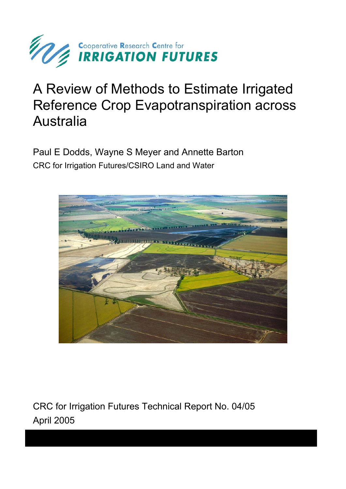

# A Review of Methods to Estimate Irrigated Reference Crop Evapotranspiration across Australia

Paul E Dodds, Wayne S Meyer and Annette Barton CRC for Irrigation Futures/CSIRO Land and Water



CRC for Irrigation Futures Technical Report No. 04/05 April 2005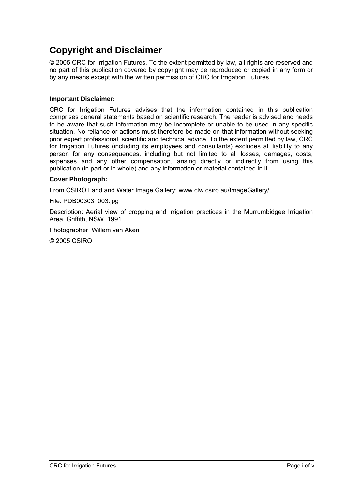# **Copyright and Disclaimer**

© 2005 CRC for Irrigation Futures. To the extent permitted by law, all rights are reserved and no part of this publication covered by copyright may be reproduced or copied in any form or by any means except with the written permission of CRC for Irrigation Futures.

### **Important Disclaimer:**

CRC for Irrigation Futures advises that the information contained in this publication comprises general statements based on scientific research. The reader is advised and needs to be aware that such information may be incomplete or unable to be used in any specific situation. No reliance or actions must therefore be made on that information without seeking prior expert professional, scientific and technical advice. To the extent permitted by law, CRC for Irrigation Futures (including its employees and consultants) excludes all liability to any person for any consequences, including but not limited to all losses, damages, costs, expenses and any other compensation, arising directly or indirectly from using this publication (in part or in whole) and any information or material contained in it.

#### **Cover Photograph:**

From CSIRO Land and Water Image Gallery: www.clw.csiro.au/ImageGallery/

File: PDB00303\_003.jpg

Description: Aerial view of cropping and irrigation practices in the Murrumbidgee Irrigation Area, Griffith, NSW. 1991.

Photographer: Willem van Aken

© 2005 CSIRO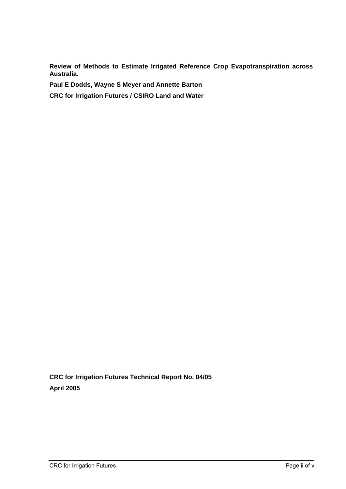**Review of Methods to Estimate Irrigated Reference Crop Evapotranspiration across Australia.** 

**Paul E Dodds, Wayne S Meyer and Annette Barton** 

**CRC for Irrigation Futures / CSIRO Land and Water** 

**CRC for Irrigation Futures Technical Report No. 04/05 April 2005**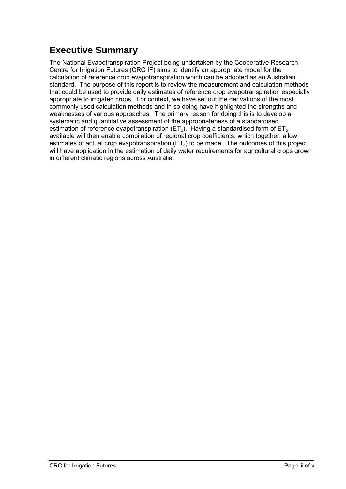# **Executive Summary**

The National Evapotranspiration Project being undertaken by the Cooperative Research Centre for Irrigation Futures (CRC IF) aims to identify an appropriate model for the calculation of reference crop evapotranspiration which can be adopted as an Australian standard. The purpose of this report is to review the measurement and calculation methods that could be used to provide daily estimates of reference crop evapotranspiration especially appropriate to irrigated crops. For context, we have set out the derivations of the most commonly used calculation methods and in so doing have highlighted the strengths and weaknesses of various approaches. The primary reason for doing this is to develop a systematic and quantitative assessment of the appropriateness of a standardised estimation of reference evapotranspiration ( $ET_0$ ). Having a standardised form of  $ET_0$ available will then enable compilation of regional crop coefficients, which together, allow estimates of actual crop evapotranspiration  $(ET_c)$  to be made. The outcomes of this project will have application in the estimation of daily water requirements for agricultural crops grown in different climatic regions across Australia.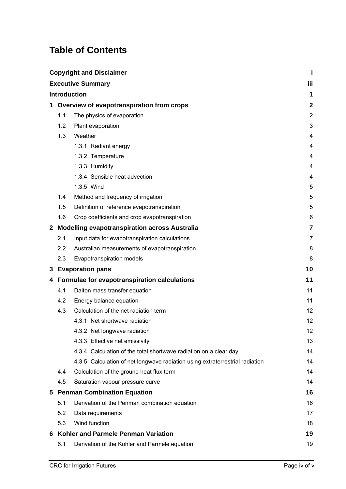# **Table of Contents**

|              | <b>Copyright and Disclaimer</b><br>j                 |                                                                              |                |
|--------------|------------------------------------------------------|------------------------------------------------------------------------------|----------------|
|              |                                                      | <b>Executive Summary</b>                                                     | iii            |
|              |                                                      | <b>Introduction</b>                                                          | 1              |
| 1            | Overview of evapotranspiration from crops            |                                                                              |                |
|              | 1.1                                                  | The physics of evaporation                                                   | $\overline{2}$ |
|              | 1.2                                                  | Plant evaporation                                                            | 3              |
|              | 1.3                                                  | Weather                                                                      | 4              |
|              |                                                      | 1.3.1 Radiant energy                                                         | 4              |
|              |                                                      | 1.3.2 Temperature                                                            | 4              |
|              |                                                      | 1.3.3 Humidity                                                               | 4              |
|              |                                                      | 1.3.4 Sensible heat advection                                                | 4              |
|              |                                                      | 1.3.5 Wind                                                                   | 5              |
|              | 1.4                                                  | Method and frequency of irrigation                                           | 5              |
|              | 1.5                                                  | Definition of reference evapotranspiration                                   | 5              |
|              | 1.6                                                  | Crop coefficients and crop evapotranspiration                                | 6              |
| $\mathbf{2}$ | <b>Modelling evapotranspiration across Australia</b> |                                                                              |                |
|              | 2.1                                                  | Input data for evapotranspiration calculations                               | 7              |
|              | 2.2                                                  | Australian measurements of evapotranspiration                                | 8              |
|              | 2.3                                                  | Evapotranspiration models                                                    | 8              |
| 3            | <b>Evaporation pans</b>                              |                                                                              | 10             |
| 4            |                                                      | Formulae for evapotranspiration calculations                                 | 11             |
|              | 4.1                                                  | Dalton mass transfer equation                                                | 11             |
|              | 4.2                                                  | Energy balance equation                                                      | 11             |
|              | 4.3                                                  | Calculation of the net radiation term                                        | 12             |
|              |                                                      | 4.3.1 Net shortwave radiation                                                | 12             |
|              |                                                      | 4.3.2 Net longwave radiation                                                 | 12             |
|              |                                                      | 4.3.3 Effective net emissivity                                               | 13             |
|              |                                                      | 4.3.4 Calculation of the total shortwave radiation on a clear day            | 14             |
|              |                                                      | 4.3.5 Calculation of net longwave radiation using extraterrestrial radiation | 14             |
|              | 4.4                                                  | Calculation of the ground heat flux term                                     | 14             |
|              | 4.5                                                  | Saturation vapour pressure curve                                             | 14             |
| 5            | <b>Penman Combination Equation</b>                   |                                                                              |                |
|              | 5.1                                                  | Derivation of the Penman combination equation                                | 16             |
|              | 5.2                                                  | Data requirements                                                            | 17             |
|              | 5.3                                                  | Wind function                                                                | 18             |
| 6            |                                                      | Kohler and Parmele Penman Variation                                          | 19             |
|              | 6.1                                                  | Derivation of the Kohler and Parmele equation                                | 19             |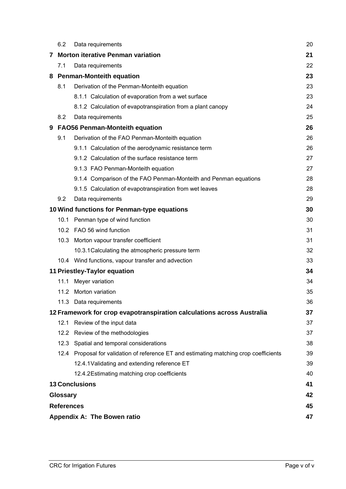|                                                                              | 6.2                               | Data requirements                                                                      | 20 |  |
|------------------------------------------------------------------------------|-----------------------------------|----------------------------------------------------------------------------------------|----|--|
| 7                                                                            |                                   | <b>Morton iterative Penman variation</b><br>21                                         |    |  |
|                                                                              | 7.1                               | Data requirements                                                                      | 22 |  |
|                                                                              | 8 Penman-Monteith equation        |                                                                                        |    |  |
|                                                                              | 8.1                               | Derivation of the Penman-Monteith equation                                             | 23 |  |
|                                                                              |                                   | 8.1.1 Calculation of evaporation from a wet surface                                    | 23 |  |
|                                                                              |                                   | 8.1.2 Calculation of evapotranspiration from a plant canopy                            | 24 |  |
|                                                                              | 8.2                               | Data requirements                                                                      | 25 |  |
| 9                                                                            |                                   | <b>FAO56 Penman-Monteith equation</b>                                                  | 26 |  |
|                                                                              | 9.1                               | Derivation of the FAO Penman-Monteith equation                                         | 26 |  |
|                                                                              |                                   | 9.1.1 Calculation of the aerodynamic resistance term                                   | 26 |  |
|                                                                              |                                   | 9.1.2 Calculation of the surface resistance term                                       | 27 |  |
|                                                                              |                                   | 9.1.3 FAO Penman-Monteith equation                                                     | 27 |  |
|                                                                              |                                   | 9.1.4 Comparison of the FAO Penman-Monteith and Penman equations                       | 28 |  |
|                                                                              |                                   | 9.1.5 Calculation of evapotranspiration from wet leaves                                | 28 |  |
|                                                                              | 9.2                               | Data requirements                                                                      | 29 |  |
|                                                                              |                                   | 10 Wind functions for Penman-type equations                                            | 30 |  |
|                                                                              | 10.1                              | Penman type of wind function                                                           | 30 |  |
|                                                                              |                                   | 10.2 FAO 56 wind function                                                              | 31 |  |
|                                                                              | 10.3                              | Morton vapour transfer coefficient                                                     | 31 |  |
|                                                                              |                                   | 10.3.1 Calculating the atmospheric pressure term                                       | 32 |  |
|                                                                              |                                   | 10.4 Wind functions, vapour transfer and advection                                     | 33 |  |
| 11 Priestley-Taylor equation<br>34                                           |                                   |                                                                                        |    |  |
|                                                                              | 11.1                              | Meyer variation                                                                        | 34 |  |
|                                                                              |                                   | 11.2 Morton variation                                                                  | 35 |  |
|                                                                              |                                   | 11.3 Data requirements                                                                 | 36 |  |
| 12 Framework for crop evapotranspiration calculations across Australia<br>37 |                                   |                                                                                        |    |  |
|                                                                              | 12.1                              | Review of the input data                                                               | 37 |  |
|                                                                              |                                   | 12.2 Review of the methodologies                                                       | 37 |  |
|                                                                              |                                   | 12.3 Spatial and temporal considerations                                               | 38 |  |
|                                                                              |                                   | 12.4 Proposal for validation of reference ET and estimating matching crop coefficients | 39 |  |
|                                                                              |                                   | 12.4.1 Validating and extending reference ET                                           | 39 |  |
|                                                                              |                                   | 12.4.2 Estimating matching crop coefficients                                           | 40 |  |
|                                                                              | <b>13 Conclusions</b><br>41       |                                                                                        |    |  |
|                                                                              | 42<br><b>Glossary</b>             |                                                                                        |    |  |
|                                                                              | <b>References</b><br>45           |                                                                                        |    |  |
|                                                                              | 47<br>Appendix A: The Bowen ratio |                                                                                        |    |  |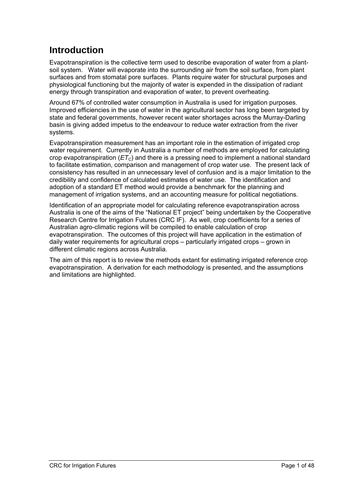# **Introduction**

Evapotranspiration is the collective term used to describe evaporation of water from a plantsoil system. Water will evaporate into the surrounding air from the soil surface, from plant surfaces and from stomatal pore surfaces. Plants require water for structural purposes and physiological functioning but the majority of water is expended in the dissipation of radiant energy through transpiration and evaporation of water, to prevent overheating.

Around 67% of controlled water consumption in Australia is used for irrigation purposes. Improved efficiencies in the use of water in the agricultural sector has long been targeted by state and federal governments, however recent water shortages across the Murray-Darling basin is giving added impetus to the endeavour to reduce water extraction from the river systems.

Evapotranspiration measurement has an important role in the estimation of irrigated crop water requirement. Currently in Australia a number of methods are employed for calculating crop evapotranspiration (*ETC*) and there is a pressing need to implement a national standard to facilitate estimation, comparison and management of crop water use. The present lack of consistency has resulted in an unnecessary level of confusion and is a major limitation to the credibility and confidence of calculated estimates of water use. The identification and adoption of a standard ET method would provide a benchmark for the planning and management of irrigation systems, and an accounting measure for political negotiations.

Identification of an appropriate model for calculating reference evapotranspiration across Australia is one of the aims of the "National ET project" being undertaken by the Cooperative Research Centre for Irrigation Futures (CRC IF). As well, crop coefficients for a series of Australian agro-climatic regions will be compiled to enable calculation of crop evapotranspiration. The outcomes of this project will have application in the estimation of daily water requirements for agricultural crops – particularly irrigated crops – grown in different climatic regions across Australia.

The aim of this report is to review the methods extant for estimating irrigated reference crop evapotranspiration. A derivation for each methodology is presented, and the assumptions and limitations are highlighted.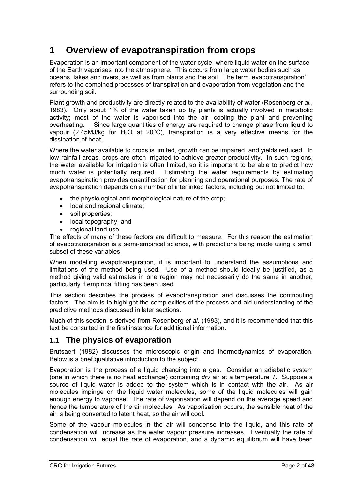# **1 Overview of evapotranspiration from crops**

Evaporation is an important component of the water cycle, where liquid water on the surface of the Earth vaporises into the atmosphere. This occurs from large water bodies such as oceans, lakes and rivers, as well as from plants and the soil. The term 'evapotranspiration' refers to the combined processes of transpiration and evaporation from vegetation and the surrounding soil.

Plant growth and productivity are directly related to the availability of water (Rosenberg *et al.*, 1983). Only about 1% of the water taken up by plants is actually involved in metabolic activity; most of the water is vaporised into the air, cooling the plant and preventing overheating. Since large quantities of energy are required to change phase from liquid to vapour (2.45MJ/kg for  $H_2O$  at 20 $^{\circ}$ C), transpiration is a very effective means for the dissipation of heat.

Where the water available to crops is limited, growth can be impaired and yields reduced. In low rainfall areas, crops are often irrigated to achieve greater productivity. In such regions, the water available for irrigation is often limited, so it is important to be able to predict how much water is potentially required. Estimating the water requirements by estimating evapotranspiration provides quantification for planning and operational purposes. The rate of evapotranspiration depends on a number of interlinked factors, including but not limited to:

- the physiological and morphological nature of the crop;
- local and regional climate:
- soil properties:
- local topography; and
- regional land use.

The effects of many of these factors are difficult to measure. For this reason the estimation of evapotranspiration is a semi-empirical science, with predictions being made using a small subset of these variables.

When modelling evapotranspiration, it is important to understand the assumptions and limitations of the method being used. Use of a method should ideally be justified, as a method giving valid estimates in one region may not necessarily do the same in another, particularly if empirical fitting has been used.

This section describes the process of evapotranspiration and discusses the contributing factors. The aim is to highlight the complexities of the process and aid understanding of the predictive methods discussed in later sections.

Much of this section is derived from Rosenberg *et al.* (1983), and it is recommended that this text be consulted in the first instance for additional information.

# **1.1 The physics of evaporation**

Brutsaert (1982) discusses the microscopic origin and thermodynamics of evaporation. Below is a brief qualitative introduction to the subject.

Evaporation is the process of a liquid changing into a gas. Consider an adiabatic system (one in which there is no heat exchange) containing *dry* air at a temperature *T*. Suppose a source of liquid water is added to the system which is in contact with the air. As air molecules impinge on the liquid water molecules, some of the liquid molecules will gain enough energy to vaporise. The rate of vaporisation will depend on the average speed and hence the temperature of the air molecules. As vaporisation occurs, the sensible heat of the air is being converted to latent heat, so the air will cool.

Some of the vapour molecules in the air will condense into the liquid, and this rate of condensation will increase as the water vapour pressure increases. Eventually the rate of condensation will equal the rate of evaporation, and a dynamic equilibrium will have been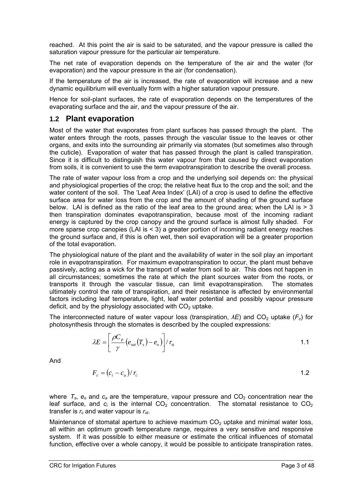reached. At this point the air is said to be saturated, and the vapour pressure is called the saturation vapour pressure for the particular air temperature.

The net rate of evaporation depends on the temperature of the air and the water (for evaporation) and the vapour pressure in the air (for condensation).

If the temperature of the air is increased, the rate of evaporation will increase and a new dynamic equilibrium will eventually form with a higher saturation vapour pressure.

Hence for soil-plant surfaces, the rate of evaporation depends on the temperatures of the evaporating surface and the air, and the vapour pressure of the air.

### **1.2 Plant evaporation**

Most of the water that evaporates from plant surfaces has passed through the plant. The water enters through the roots, passes through the vascular tissue to the leaves or other organs, and exits into the surrounding air primarily via stomates (but sometimes also through the cuticle). Evaporation of water that has passed through the plant is called transpiration. Since it is difficult to distinguish this water vapour from that caused by direct evaporation from soils, it is convenient to use the term evapotranspiration to describe the overall process.

The rate of water vapour loss from a crop and the underlying soil depends on: the physical and physiological properties of the crop; the relative heat flux to the crop and the soil; and the water content of the soil. The 'Leaf Area Index' (LAI) of a crop is used to define the effective surface area for water loss from the crop and the amount of shading of the ground surface below. LAI is defined as the ratio of the leaf area to the ground area; when the LAI is  $> 3$ then transpiration dominates evapotranspiration, because most of the incoming radiant energy is captured by the crop canopy and the ground surface is almost fully shaded. For more sparse crop canopies (LAI is < 3) a greater portion of incoming radiant energy reaches the ground surface and, if this is often wet, then soil evaporation will be a greater proportion of the total evaporation.

The physiological nature of the plant and the availability of water in the soil play an important role in evapotranspiration. For maximum evapotranspiration to occur, the plant must behave passively, acting as a wick for the transport of water from soil to air. This does not happen in all circumstances; sometimes the rate at which the plant sources water from the roots, or transports it through the vascular tissue, can limit evapotranspiration. The stomates ultimately control the rate of transpiration, and their resistance is affected by environmental factors including leaf temperature, light, leaf water potential and possibly vapour pressure deficit, and by the physiology associated with  $CO<sub>2</sub>$  uptake.

The interconnected nature of water vapour loss (transpiration,  $\lambda E$ ) and CO<sub>2</sub> uptake ( $F_c$ ) for photosynthesis through the stomates is described by the coupled expressions:

$$
\lambda E = \left[\frac{\rho C_p}{\gamma} \left(e_{sat}(T_s) - e_o\right)\right] / r_{st} \tag{1.1}
$$

And

 $F_c = (c_i - c_a)/r_c$  1.2

where  $T_s$ ,  $e_o$  and  $c_a$  are the temperature, vapour pressure and  $CO_2$  concentration near the leaf surface, and  $c_i$  is the internal  $CO<sub>2</sub>$  concentration. The stomatal resistance to  $CO<sub>2</sub>$ transfer is  $r_c$  and water vapour is  $r_{st}$ .

Maintenance of stomatal aperture to achieve maximum  $CO<sub>2</sub>$  uptake and minimal water loss, all within an optimum growth temperature range, requires a very sensitive and responsive system. If it was possible to either measure or estimate the critical influences of stomatal function, effective over a whole canopy, it would be possible to anticipate transpiration rates.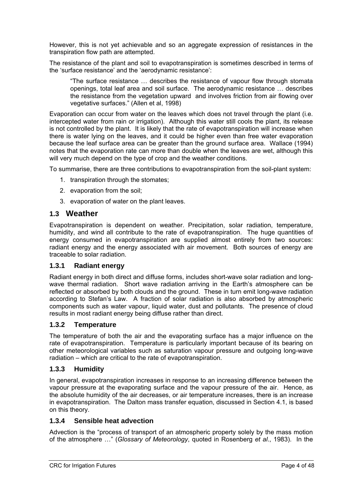However, this is not yet achievable and so an aggregate expression of resistances in the transpiration flow path are attempted.

The resistance of the plant and soil to evapotranspiration is sometimes described in terms of the 'surface resistance' and the 'aerodynamic resistance':

"The surface resistance … describes the resistance of vapour flow through stomata openings, total leaf area and soil surface. The aerodynamic resistance … describes the resistance from the vegetation upward and involves friction from air flowing over vegetative surfaces." (Allen et al, 1998)

Evaporation can occur from water on the leaves which does not travel through the plant (i.e. intercepted water from rain or irrigation). Although this water still cools the plant, its release is not controlled by the plant. It is likely that the rate of evapotranspiration will increase when there is water lying on the leaves, and it could be higher even than free water evaporation because the leaf surface area can be greater than the ground surface area. Wallace (1994) notes that the evaporation rate can more than double when the leaves are wet, although this will very much depend on the type of crop and the weather conditions.

To summarise, there are three contributions to evapotranspiration from the soil-plant system:

- 1. transpiration through the stomates;
- 2. evaporation from the soil;
- 3. evaporation of water on the plant leaves.

### **1.3 Weather**

Evapotranspiration is dependent on weather. Precipitation, solar radiation, temperature, humidity, and wind all contribute to the rate of evapotranspiration. The huge quantities of energy consumed in evapotranspiration are supplied almost entirely from two sources: radiant energy and the energy associated with air movement. Both sources of energy are traceable to solar radiation.

#### **1.3.1 Radiant energy**

Radiant energy in both direct and diffuse forms, includes short-wave solar radiation and longwave thermal radiation. Short wave radiation arriving in the Earth's atmosphere can be reflected or absorbed by both clouds and the ground. These in turn emit long-wave radiation according to Stefan's Law. A fraction of solar radiation is also absorbed by atmospheric components such as water vapour, liquid water, dust and pollutants. The presence of cloud results in most radiant energy being diffuse rather than direct.

### **1.3.2 Temperature**

The temperature of both the air and the evaporating surface has a major influence on the rate of evapotranspiration. Temperature is particularly important because of its bearing on other meteorological variables such as saturation vapour pressure and outgoing long-wave radiation – which are critical to the rate of evapotranspiration.

### **1.3.3 Humidity**

In general, evapotranspiration increases in response to an increasing difference between the vapour pressure at the evaporating surface and the vapour pressure of the air. Hence, as the absolute humidity of the air decreases, or air temperature increases, there is an increase in evapotranspiration. The Dalton mass transfer equation, discussed in Section 4.1, is based on this theory.

### **1.3.4 Sensible heat advection**

Advection is the "process of transport of an atmospheric property solely by the mass motion of the atmosphere …" (*Glossary of Meteorology*, quoted in Rosenberg *et al*., 1983). In the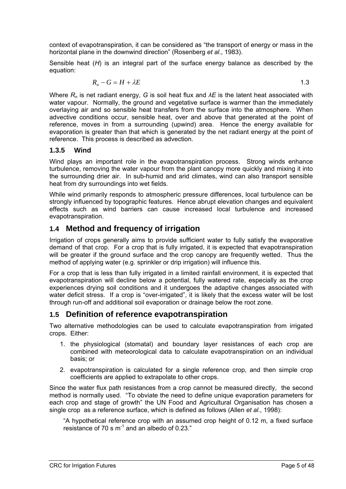context of evapotranspiration, it can be considered as "the transport of energy or mass in the horizontal plane in the downwind direction" (Rosenberg *et al*., 1983).

Sensible heat (*H*) is an integral part of the surface energy balance as described by the equation:

$$
R_n - G = H + \lambda E \tag{1.3}
$$

Where *Rn* is net radiant energy, *G* is soil heat flux and *λE* is the latent heat associated with water vapour. Normally, the ground and vegetative surface is warmer than the immediately overlaying air and so sensible heat transfers from the surface into the atmosphere. When advective conditions occur, sensible heat, over and above that generated at the point of reference, moves in from a surrounding (upwind) area. Hence the energy available for evaporation is greater than that which is generated by the net radiant energy at the point of reference. This process is described as advection.

#### **1.3.5 Wind**

Wind plays an important role in the evapotranspiration process. Strong winds enhance turbulence, removing the water vapour from the plant canopy more quickly and mixing it into the surrounding drier air. In sub-humid and arid climates, wind can also transport sensible heat from dry surroundings into wet fields.

While wind primarily responds to atmospheric pressure differences, local turbulence can be strongly influenced by topographic features. Hence abrupt elevation changes and equivalent effects such as wind barriers can cause increased local turbulence and increased evapotranspiration.

### **1.4 Method and frequency of irrigation**

Irrigation of crops generally aims to provide sufficient water to fully satisfy the evaporative demand of that crop. For a crop that is fully irrigated, it is expected that evapotranspiration will be greater if the ground surface and the crop canopy are frequently wetted. Thus the method of applying water (e.g. sprinkler or drip irrigation) will influence this.

For a crop that is less than fully irrigated in a limited rainfall environment, it is expected that evapotranspiration will decline below a potential, fully watered rate, especially as the crop experiences drying soil conditions and it undergoes the adaptive changes associated with water deficit stress. If a crop is "over-irrigated", it is likely that the excess water will be lost through run-off and additional soil evaporation or drainage below the root zone.

### **1.5 Definition of reference evapotranspiration**

Two alternative methodologies can be used to calculate evapotranspiration from irrigated crops. Either:

- 1. the physiological (stomatal) and boundary layer resistances of each crop are combined with meteorological data to calculate evapotranspiration on an individual basis; or
- 2. evapotranspiration is calculated for a single reference crop, and then simple crop coefficients are applied to extrapolate to other crops.

Since the water flux path resistances from a crop cannot be measured directly, the second method is normally used. "To obviate the need to define unique evaporation parameters for each crop and stage of growth" the UN Food and Agricultural Organisation has chosen a single crop as a reference surface, which is defined as follows (Allen *et al.*, 1998):

"A hypothetical reference crop with an assumed crop height of 0.12 m, a fixed surface resistance of 70 s  $m^{-1}$  and an albedo of 0.23."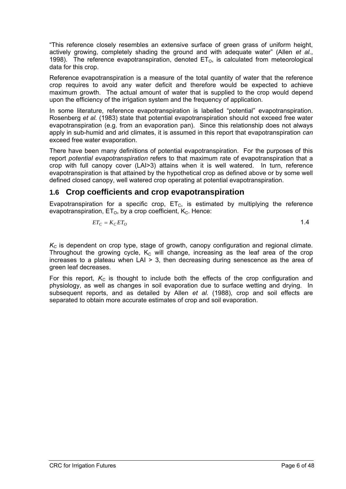"This reference closely resembles an extensive surface of green grass of uniform height, actively growing, completely shading the ground and with adequate water" (Allen *et al.*, 1998). The reference evapotranspiration, denoted  $ET<sub>o</sub>$ , is calculated from meteorological data for this crop.

Reference evapotranspiration is a measure of the total quantity of water that the reference crop requires to avoid any water deficit and therefore would be expected to achieve maximum growth. The actual amount of water that is supplied to the crop would depend upon the efficiency of the irrigation system and the frequency of application.

In some literature, reference evapotranspiration is labelled "potential" evapotranspiration. Rosenberg *et al.* (1983) state that potential evapotranspiration should not exceed free water evapotranspiration (e.g. from an evaporation pan). Since this relationship does not always apply in sub-humid and arid climates, it is assumed in this report that evapotranspiration *can* exceed free water evaporation.

There have been many definitions of potential evapotranspiration. For the purposes of this report *potential evapotranspiration* refers to that maximum rate of evapotranspiration that a crop with full canopy cover (LAI>3) attains when it is well watered. In turn, reference evapotranspiration is that attained by the hypothetical crop as defined above or by some well defined closed canopy, well watered crop operating at potential evapotranspiration.

### **1.6 Crop coefficients and crop evapotranspiration**

Evapotranspiration for a specific crop,  $ET<sub>C</sub>$ , is estimated by multiplying the reference evapotranspiration,  $ET<sub>O</sub>$ , by a crop coefficient,  $K<sub>C</sub>$ . Hence:

$$
ET_C = K_C ET_O \tag{1.4}
$$

 $K<sub>C</sub>$  is dependent on crop type, stage of growth, canopy configuration and regional climate. Throughout the growing cycle,  $K_c$  will change, increasing as the leaf area of the crop increases to a plateau when LAI  $> 3$ , then decreasing during senescence as the area of green leaf decreases.

For this report,  $K_c$  is thought to include both the effects of the crop configuration and physiology, as well as changes in soil evaporation due to surface wetting and drying. In subsequent reports, and as detailed by Allen *et al.* (1988), crop and soil effects are separated to obtain more accurate estimates of crop and soil evaporation.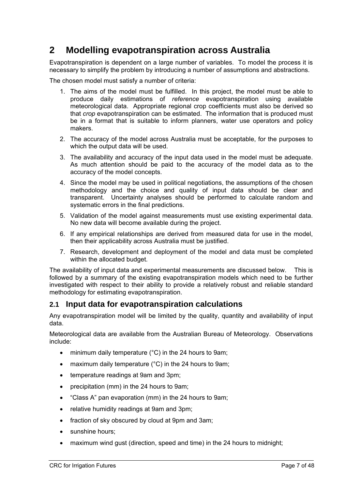# **2 Modelling evapotranspiration across Australia**

Evapotranspiration is dependent on a large number of variables. To model the process it is necessary to simplify the problem by introducing a number of assumptions and abstractions.

The chosen model must satisfy a number of criteria:

- 1. The aims of the model must be fulfilled. In this project, the model must be able to produce daily estimations of *reference* evapotranspiration using available meteorological data. Appropriate regional crop coefficients must also be derived so that *crop* evapotranspiration can be estimated. The information that is produced must be in a format that is suitable to inform planners, water use operators and policy makers.
- 2. The accuracy of the model across Australia must be acceptable, for the purposes to which the output data will be used.
- 3. The availability and accuracy of the input data used in the model must be adequate. As much attention should be paid to the accuracy of the model data as to the accuracy of the model concepts.
- 4. Since the model may be used in political negotiations, the assumptions of the chosen methodology and the choice and quality of input data should be clear and transparent. Uncertainty analyses should be performed to calculate random and systematic errors in the final predictions.
- 5. Validation of the model against measurements must use existing experimental data. No new data will become available during the project.
- 6. If any empirical relationships are derived from measured data for use in the model, then their applicability across Australia must be justified.
- 7. Research, development and deployment of the model and data must be completed within the allocated budget.

The availability of input data and experimental measurements are discussed below. This is followed by a summary of the existing evapotranspiration models which need to be further investigated with respect to their ability to provide a relatively robust and reliable standard methodology for estimating evapotranspiration.

### **2.1 Input data for evapotranspiration calculations**

Any evapotranspiration model will be limited by the quality, quantity and availability of input data.

Meteorological data are available from the Australian Bureau of Meteorology. Observations include:

- minimum daily temperature (°C) in the 24 hours to 9am;
- maximum daily temperature (°C) in the 24 hours to 9am;
- temperature readings at 9am and 3pm;
- precipitation (mm) in the 24 hours to 9am;
- "Class A" pan evaporation (mm) in the 24 hours to 9am;
- relative humidity readings at 9am and 3pm;
- fraction of sky obscured by cloud at 9pm and 3am:
- sunshine hours:
- maximum wind gust (direction, speed and time) in the 24 hours to midnight;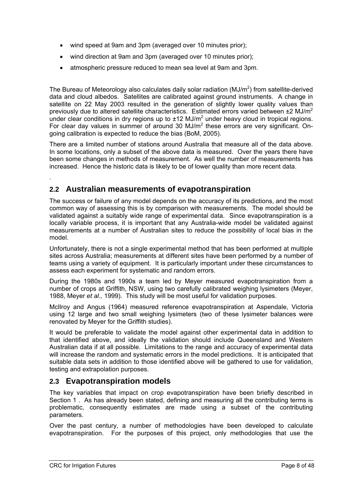- wind speed at 9am and 3pm (averaged over 10 minutes prior);
- wind direction at 9am and 3pm (averaged over 10 minutes prior);
- atmospheric pressure reduced to mean sea level at 9am and 3pm.

The Bureau of Meteorology also calculates daily solar radiation ( $MJ/m<sup>2</sup>$ ) from satellite-derived data and cloud albedos. Satellites are calibrated against ground instruments. A change in satellite on 22 May 2003 resulted in the generation of slightly lower quality values than previously due to altered satellite characteristics. Estimated errors varied between  $\pm 2 \text{ MJ/m}^2$ under clear conditions in dry regions up to  $\pm$ 12 MJ/m<sup>2</sup> under heavy cloud in tropical regions. For clear day values in summer of around 30 MJ/ $m<sup>2</sup>$  these errors are very significant. Ongoing calibration is expected to reduce the bias (BoM, 2005).

There are a limited number of stations around Australia that measure all of the data above. In some locations, only a subset of the above data is measured. Over the years there have been some changes in methods of measurement. As well the number of measurements has increased. Hence the historic data is likely to be of lower quality than more recent data.

# **2.2 Australian measurements of evapotranspiration**

The success or failure of any model depends on the accuracy of its predictions, and the most common way of assessing this is by comparison with measurements. The model should be validated against a suitably wide range of experimental data. Since evapotranspiration is a locally variable process, it is important that any Australia-wide model be validated against measurements at a number of Australian sites to reduce the possibility of local bias in the model.

Unfortunately, there is not a single experimental method that has been performed at multiple sites across Australia; measurements at different sites have been performed by a number of teams using a variety of equipment. It is particularly important under these circumstances to assess each experiment for systematic and random errors.

During the 1980s and 1990s a team led by Meyer measured evapotranspiration from a number of crops at Griffith, NSW, using two carefully calibrated weighing lysimeters (Meyer, 1988, Meyer *et al.,* 1999). This study will be most useful for validation purposes.

McIlroy and Angus (1964) measured reference evapotranspiration at Aspendale, Victoria using 12 large and two small weighing lysimeters (two of these lysimeter balances were renovated by Meyer for the Griffith studies).

It would be preferable to validate the model against other experimental data in addition to that identified above, and ideally the validation should include Queensland and Western Australian data if at all possible. Limitations to the range and accuracy of experimental data will increase the random and systematic errors in the model predictions. It is anticipated that suitable data sets in addition to those identified above will be gathered to use for validation, testing and extrapolation purposes.

### **2.3 Evapotranspiration models**

The key variables that impact on crop evapotranspiration have been briefly described in Section 1 . As has already been stated, defining and measuring all the contributing terms is problematic, consequently estimates are made using a subset of the contributing parameters.

Over the past century, a number of methodologies have been developed to calculate evapotranspiration. For the purposes of this project, only methodologies that use the

.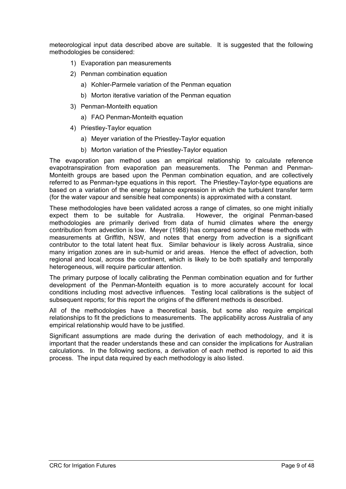meteorological input data described above are suitable. It is suggested that the following methodologies be considered:

- 1) Evaporation pan measurements
- 2) Penman combination equation
	- a) Kohler-Parmele variation of the Penman equation
	- b) Morton iterative variation of the Penman equation
- 3) Penman-Monteith equation
	- a) FAO Penman-Monteith equation
- 4) Priestley-Taylor equation
	- a) Meyer variation of the Priestley-Taylor equation
	- b) Morton variation of the Priestley-Taylor equation

The evaporation pan method uses an empirical relationship to calculate reference evapotranspiration from evaporation pan measurements. The Penman and Penman-Monteith groups are based upon the Penman combination equation, and are collectively referred to as Penman-type equations in this report. The Priestley-Taylor-type equations are based on a variation of the energy balance expression in which the turbulent transfer term (for the water vapour and sensible heat components) is approximated with a constant.

These methodologies have been validated across a range of climates, so one might initially expect them to be suitable for Australia. However, the original Penman-based methodologies are primarily derived from data of humid climates where the energy contribution from advection is low. Meyer (1988) has compared some of these methods with measurements at Griffith, NSW, and notes that energy from advection is a significant contributor to the total latent heat flux. Similar behaviour is likely across Australia, since many irrigation zones are in sub-humid or arid areas. Hence the effect of advection, both regional and local, across the continent, which is likely to be both spatially and temporally heterogeneous, will require particular attention.

The primary purpose of locally calibrating the Penman combination equation and for further development of the Penman-Monteith equation is to more accurately account for local conditions including most advective influences. Testing local calibrations is the subject of subsequent reports; for this report the origins of the different methods is described.

All of the methodologies have a theoretical basis, but some also require empirical relationships to fit the predictions to measurements. The applicability across Australia of any empirical relationship would have to be justified.

Significant assumptions are made during the derivation of each methodology, and it is important that the reader understands these and can consider the implications for Australian calculations. In the following sections, a derivation of each method is reported to aid this process. The input data required by each methodology is also listed.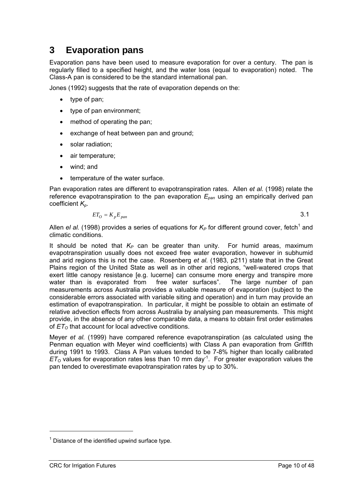# **3 Evaporation pans**

Evaporation pans have been used to measure evaporation for over a century. The pan is regularly filled to a specified height, and the water loss (equal to evaporation) noted. The Class-A pan is considered to be the standard international pan.

Jones (1992) suggests that the rate of evaporation depends on the:

- type of pan;
- type of pan environment;
- method of operating the pan;
- exchange of heat between pan and ground;
- solar radiation;
- air temperature;
- wind; and
- temperature of the water surface.

Pan evaporation rates are different to evapotranspiration rates. Allen *et al.* (1998) relate the reference evapotranspiration to the pan evaporation  $E_{\text{pan}}$  using an empirically derived pan coefficient *Kp*.

$$
ET_O = K_p E_{pan} \tag{3.1}
$$

Allen *el al.* (1998) provides a series of equations for  $K_P$  for different ground cover, fetch<sup>1</sup> and climatic conditions.

It should be noted that  $K_P$  can be greater than unity. For humid areas, maximum evapotranspiration usually does not exceed free water evaporation, however in subhumid and arid regions this is not the case. Rosenberg *et al.* (1983, p211) state that in the Great Plains region of the United State as well as in other arid regions, "well-watered crops that exert little canopy resistance [e.g. lucerne] can consume more energy and transpire more water than is evaporated from free water surfaces". The large number of pan measurements across Australia provides a valuable measure of evaporation (subject to the considerable errors associated with variable siting and operation) and in turn may provide an estimation of evapotranspiration. In particular, it might be possible to obtain an estimate of relative advection effects from across Australia by analysing pan measurements. This might provide, in the absence of any other comparable data, a means to obtain first order estimates of  $ET<sub>O</sub>$  that account for local advective conditions.

Meyer *et al.* (1999) have compared reference evapotranspiration (as calculated using the Penman equation with Meyer wind coefficients) with Class A pan evaporation from Griffith during 1991 to 1993. Class A Pan values tended to be 7-8% higher than locally calibrated  $ET<sub>O</sub>$  values for evaporation rates less than 10 mm day<sup>-1</sup>. For greater evaporation values the pan tended to overestimate evapotranspiration rates by up to 30%.

-

 $1$  Distance of the identified upwind surface type.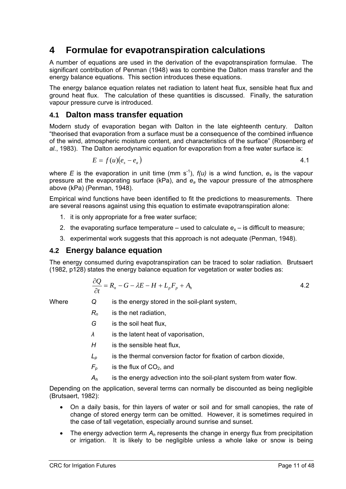# **4 Formulae for evapotranspiration calculations**

A number of equations are used in the derivation of the evapotranspiration formulae. The significant contribution of Penman (1948) was to combine the Dalton mass transfer and the energy balance equations. This section introduces these equations.

The energy balance equation relates net radiation to latent heat flux, sensible heat flux and ground heat flux. The calculation of these quantities is discussed. Finally, the saturation vapour pressure curve is introduced.

# **4.1 Dalton mass transfer equation**

Modern study of evaporation began with Dalton in the late eighteenth century. Dalton "theorised that evaporation from a surface must be a consequence of the combined influence of the wind, atmospheric moisture content, and characteristics of the surface" (Rosenberg *et al.*, 1983). The Dalton aerodynamic equation for evaporation from a free water surface is:

$$
E = f(u)(e_s - e_a) \tag{4.1}
$$

where *E* is the evaporation in unit time (mm s<sup>-1</sup>),  $f(u)$  is a wind function,  $e_s$  is the vapour pressure at the evaporating surface (kPa), and *ea* the vapour pressure of the atmosphere above (kPa) (Penman, 1948).

Empirical wind functions have been identified to fit the predictions to measurements. There are several reasons against using this equation to estimate evapotranspiration alone:

- 1. it is only appropriate for a free water surface;
- 2. the evaporating surface temperature  $-$  used to calculate  $e_s -$  is difficult to measure;
- 3. experimental work suggests that this approach is not adequate (Penman, 1948).

## **4.2 Energy balance equation**

The energy consumed during evapotranspiration can be traced to solar radiation. Brutsaert (1982, p128) states the energy balance equation for vegetation or water bodies as:

$$
\frac{\partial Q}{\partial t} = R_n - G - \lambda E - H + L_p F_p + A_h
$$

- Where *Q* is the energy stored in the soil-plant system,
	- *Rn* is the net radiation,
	- *G* is the soil heat flux,

*λ* is the latent heat of vaporisation,

- *H* is the sensible heat flux,
- *Lp* is the thermal conversion factor for fixation of carbon dioxide,
- $F_p$  is the flux of CO<sub>2</sub>, and
- $A_h$  is the energy advection into the soil-plant system from water flow.

Depending on the application, several terms can normally be discounted as being negligible (Brutsaert, 1982):

- On a daily basis, for thin layers of water or soil and for small canopies, the rate of change of stored energy term can be omitted. However, it is sometimes required in the case of tall vegetation, especially around sunrise and sunset.
- The energy advection term  $A_h$  represents the change in energy flux from precipitation or irrigation. It is likely to be negligible unless a whole lake or snow is being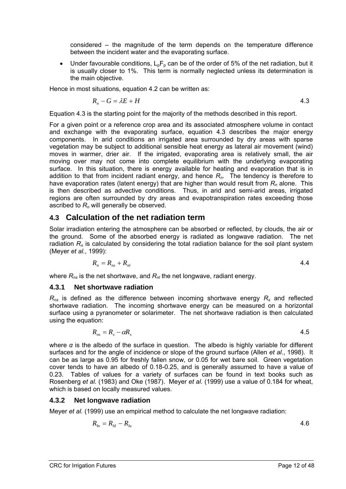considered – the magnitude of the term depends on the temperature difference between the incident water and the evaporating surface.

• Under favourable conditions,  $L_pF_p$  can be of the order of 5% of the net radiation, but it is usually closer to 1%. This term is normally neglected unless its determination is the main objective.

Hence in most situations, equation 4.2 can be written as:

$$
R_n - G = \lambda E + H \tag{4.3}
$$

Equation 4.3 is the starting point for the majority of the methods described in this report.

For a given point or a reference crop area and its associated atmosphere volume in contact and exchange with the evaporating surface, equation 4.3 describes the major energy components. In arid conditions an irrigated area surrounded by dry areas with sparse vegetation may be subject to additional sensible heat energy as lateral air movement (wind) moves in warmer, drier air. If the irrigated, evaporating area is relatively small, the air moving over may not come into complete equilibrium with the underlying evaporating surface. In this situation, there is energy available for heating and evaporation that is in addition to that from incident radiant energy, and hence  $R_n$ . The tendency is therefore to have evaporation rates (latent energy) that are higher than would result from  $R_n$  alone. This is then described as advective conditions. Thus, in arid and semi-arid areas, irrigated regions are often surrounded by dry areas and evapotranspiration rates exceeding those ascribed to *Rn* will generally be observed.

## **4.3 Calculation of the net radiation term**

Solar irradiation entering the atmosphere can be absorbed or reflected, by clouds, the air or the ground. Some of the absorbed energy is radiated as longwave radiation. The net radiation  $R_n$  is calculated by considering the total radiation balance for the soil plant system (Meyer *et al.*, 1999):

$$
R_n = R_{ns} + R_{nl} \tag{4.4}
$$

where  $R_{ns}$  is the net shortwave, and  $R_{nl}$  the net longwave, radiant energy.

### **4.3.1 Net shortwave radiation**

*Rns* is defined as the difference between incoming shortwave energy *Rs* and reflected shortwave radiation. The incoming shortwave energy can be measured on a horizontal surface using a pyranometer or solarimeter. The net shortwave radiation is then calculated using the equation:

$$
R_{ns} = R_s - \alpha R_s \tag{4.5}
$$

where *α* is the albedo of the surface in question. The albedo is highly variable for different surfaces and for the angle of incidence or slope of the ground surface (Allen *et al.*, 1998). It can be as large as 0.95 for freshly fallen snow, or 0.05 for wet bare soil. Green vegetation cover tends to have an albedo of 0.18-0.25, and is generally assumed to have a value of 0.23. Tables of values for a variety of surfaces can be found in text books such as Rosenberg *et al.* (1983) and Oke (1987). Meyer *et al.* (1999) use a value of 0.184 for wheat, which is based on locally measured values.

### **4.3.2 Net longwave radiation**

Meyer *et al.* (1999) use an empirical method to calculate the net longwave radiation:

$$
R_{\rm ln} = R_{\rm ln} - R_{\rm ln} \tag{4.6}
$$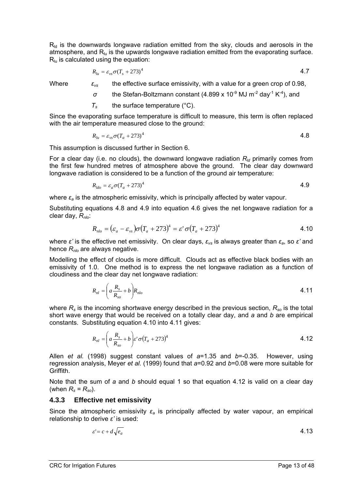$R_{\text{ld}}$  is the downwards longwave radiation emitted from the sky, clouds and aerosols in the atmosphere, and  $R_{\text{lu}}$  is the upwards longwave radiation emitted from the evaporating surface.  $R_{\text{lu}}$  is calculated using the equation:

$$
R_{lu} = \varepsilon_{vs} \sigma (T_s + 273)^4 \tag{4.7}
$$

Where  $\varepsilon_{\text{vs}}$  the effective surface emissivity, with a value for a green crop of 0.98,

*σ* the Stefan-Boltzmann constant (4.899 x 10<sup>-9</sup> MJ m<sup>-2</sup> day<sup>-1</sup> K<sup>-4</sup>), and

 $T_s$  the surface temperature ( $°C$ ).

Since the evaporating surface temperature is difficult to measure, this term is often replaced with the air temperature measured close to the ground:

$$
R_{lu} = \varepsilon_{vs} \sigma (T_a + 273)^4 \tag{4.8}
$$

This assumption is discussed further in Section 6.

For a clear day (i.e. no clouds), the downward longwave radiation  $R_{\text{Id}}$  primarily comes from the first few hundred metres of atmosphere above the ground. The clear day downward longwave radiation is considered to be a function of the ground air temperature:

$$
R_{ldo} = \varepsilon_a \sigma (T_a + 273)^4 \tag{4.9}
$$

where *εa* is the atmospheric emissivity, which is principally affected by water vapour.

Substituting equations 4.8 and 4.9 into equation 4.6 gives the net longwave radiation for a clear day, *Rnlo*:

$$
R_{nlo} = (\varepsilon_a - \varepsilon_{vs})\sigma (T_a + 273)^4 = \varepsilon' \sigma (T_a + 273)^4
$$

where *ε'* is the effective net emissivity. On clear days, *εvs* is always greater than *εa*, so *ε'* and hence *Rnlo* are always negative.

Modelling the effect of clouds is more difficult. Clouds act as effective black bodies with an emissivity of 1.0. One method is to express the net longwave radiation as a function of cloudiness and the clear day net longwave radiation:

$$
R_{nl} = \left(a\frac{R_s}{R_{so}} + b\right)R_{nlo}
$$

where  $R_s$  is the incoming shortwave energy described in the previous section,  $R_{so}$  is the total short wave energy that would be received on a totally clear day, and *a* and *b* are empirical constants. Substituting equation 4.10 into 4.11 gives:

$$
R_{nl} = \left(a\frac{R_s}{R_{so}} + b\right)\varepsilon \sigma (T_a + 273)^4
$$

Allen *et al.* (1998) suggest constant values of *a*=1.35 and *b*=-0.35. However, using regression analysis, Meyer *et al.* (1999) found that *a*=0.92 and *b*=0.08 were more suitable for Griffith.

Note that the sum of *a* and *b* should equal 1 so that equation 4.12 is valid on a clear day (when  $R_s = R_{so}$ ).

#### **4.3.3 Effective net emissivity**

Since the atmospheric emissivity *εa* is principally affected by water vapour, an empirical relationship to derive *ε'* is used:

$$
\varepsilon = c + d\sqrt{e_a} \tag{4.13}
$$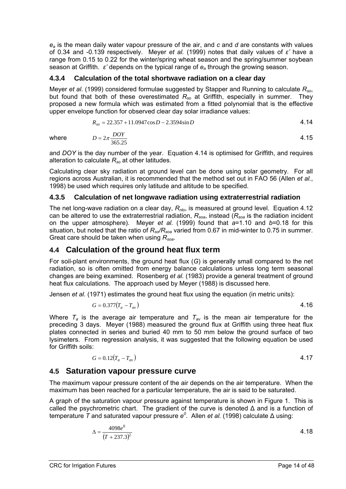*ea* is the mean daily water vapour pressure of the air, and *c* and *d* are constants with values of 0.34 and -0.139 respectively. Meyer *et al.* (1999) notes that daily values of *ε'* have a range from 0.15 to 0.22 for the winter/spring wheat season and the spring/summer soybean season at Griffith. *ε'* depends on the typical range of *ea* through the growing season.

### **4.3.4 Calculation of the total shortwave radiation on a clear day**

Meyer *et al.* (1999) considered formulae suggested by Stapper and Running to calculate *Rso*, but found that both of these overestimated *Rso* at Griffith, especially in summer. They proposed a new formula which was estimated from a fitted polynomial that is the effective upper envelope function for observed clear day solar irradiance values:

$$
R_{so} = 22.357 + 11.0947 \cos D - 2.3594 \sin D \tag{4.14}
$$

where

$$
D = 2\pi \frac{DOY}{365.25}
$$

and *DOY* is the day number of the year. Equation 4.14 is optimised for Griffith, and requires alteration to calculate *Rso* at other latitudes.

Calculating clear sky radiation at ground level can be done using solar geometry. For all regions across Australian, it is recommended that the method set out in FAO 56 (Allen *et al.*, 1998) be used which requires only latitude and altitude to be specified.

#### **4.3.5 Calculation of net longwave radiation using extraterrestrial radiation**

The net long-wave radiation on a clear day, *Rnlo*, is measured at ground level. Equation 4.12 can be altered to use the extraterrestrial radiation, *Rsoa*, instead (*Rsoa* is the radiation incident on the upper atmosphere). Meyer *et al.* (1999) found that *a*=1.10 and *b*=0.18 for this situation, but noted that the ratio of *Rso/Rsoa* varied from 0.67 in mid-winter to 0.75 in summer. Great care should be taken when using *Rsoa*.

### **4.4 Calculation of the ground heat flux term**

For soil-plant environments, the ground heat flux (*G*) is generally small compared to the net radiation, so is often omitted from energy balance calculations unless long term seasonal changes are being examined. Rosenberg *et al.* (1983) provide a general treatment of ground heat flux calculations. The approach used by Meyer (1988) is discussed here.

Jensen *et al.* (1971) estimates the ground heat flux using the equation (in metric units):

$$
G = 0.377(T_a - T_{av})
$$
 4.16

Where  $T_a$  is the average air temperature and  $T_{av}$  is the mean air temperature for the preceding 3 days. Meyer (1988) measured the ground flux at Griffith using three heat flux plates connected in series and buried 40 mm to 50 mm below the ground surface of two lysimeters. From regression analysis, it was suggested that the following equation be used for Griffith soils:

$$
G = 0.12(T_a - T_{av})
$$
 4.17

### **4.5 Saturation vapour pressure curve**

The maximum vapour pressure content of the air depends on the air temperature. When the maximum has been reached for a particular temperature, the air is said to be saturated.

A graph of the saturation vapour pressure against temperature is shown in Figure 1. This is called the psychrometric chart. The gradient of the curve is denoted Δ and is a function of temperature *T* and saturated vapour pressure *e<sup>0</sup>* . Allen *et al.* (1998) calculate Δ using:

$$
\Delta = \frac{4098e^0}{(T + 237.3)^2}
$$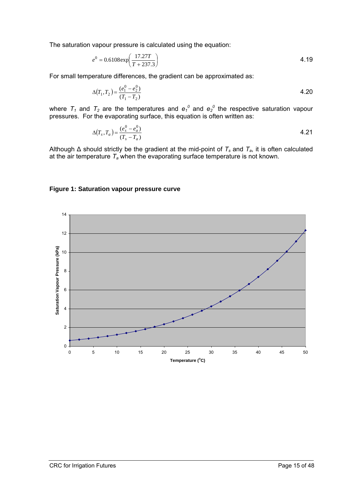The saturation vapour pressure is calculated using the equation:

$$
e^{0} = 0.6108 \exp\left(\frac{17.27T}{T + 237.3}\right)
$$
 4.19

For small temperature differences, the gradient can be approximated as:

$$
\Delta(T_1, T_2) = \frac{(e_1^0 - e_2^0)}{(T_1 - T_2)}\tag{4.20}
$$

where  $T_1$  and  $T_2$  are the temperatures and  $e_1{}^0$  and  $e_2{}^0$  the respective saturation vapour pressures. For the evaporating surface, this equation is often written as:

$$
\Delta(T_s, T_a) = \frac{(e_s^0 - e_a^0)}{(T_s - T_a)}
$$
 4.21

Although Δ should strictly be the gradient at the mid-point of *Ts* and *Ta*, it is often calculated at the air temperature  $T_a$  when the evaporating surface temperature is not known.

#### **Figure 1: Saturation vapour pressure curve**

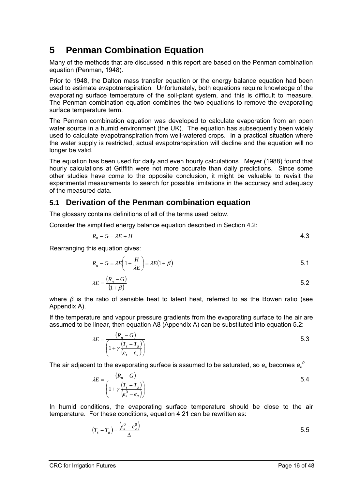# **5 Penman Combination Equation**

Many of the methods that are discussed in this report are based on the Penman combination equation (Penman, 1948).

Prior to 1948, the Dalton mass transfer equation or the energy balance equation had been used to estimate evapotranspiration. Unfortunately, both equations require knowledge of the evaporating surface temperature of the soil-plant system, and this is difficult to measure. The Penman combination equation combines the two equations to remove the evaporating surface temperature term.

The Penman combination equation was developed to calculate evaporation from an open water source in a humid environment (the UK). The equation has subsequently been widely used to calculate evapotranspiration from well-watered crops. In a practical situation where the water supply is restricted, actual evapotranspiration will decline and the equation will no longer be valid.

The equation has been used for daily and even hourly calculations. Meyer (1988) found that hourly calculations at Griffith were not more accurate than daily predictions. Since some other studies have come to the opposite conclusion, it might be valuable to revisit the experimental measurements to search for possible limitations in the accuracy and adequacy of the measured data.

## **5.1 Derivation of the Penman combination equation**

The glossary contains definitions of all of the terms used below.

Consider the simplified energy balance equation described in Section 4.2:

$$
R_n - G = \lambda E + H \tag{4.3}
$$

Rearranging this equation gives:

$$
R_n - G = \lambda E \left( 1 + \frac{H}{\lambda E} \right) = \lambda E (1 + \beta)
$$

$$
\lambda E = \frac{(R_n - G)}{(1 + \beta)}\tag{5.2}
$$

where *β* is the ratio of sensible heat to latent heat, referred to as the Bowen ratio (see Appendix A).

If the temperature and vapour pressure gradients from the evaporating surface to the air are assumed to be linear, then equation A8 (Appendix A) can be substituted into equation 5.2:

$$
\lambda E = \frac{(R_n - G)}{\left(1 + \gamma \frac{(T_s - T_a)}{(e_s - e_a)}\right)}
$$
5.3

The air adjacent to the evaporating surface is assumed to be saturated, so  $e_s$  becomes  $e_s^{\mathcal{G}}$ 

$$
\lambda E = \frac{(R_n - G)}{\left(1 + \gamma \frac{(T_s - T_a)}{\left(e_s^0 - e_a\right)}\right)}
$$
5.4

In humid conditions, the evaporating surface temperature should be close to the air temperature. For these conditions, equation 4.21 can be rewritten as:

$$
(T_s - T_a) = \frac{\left(e_s^0 - e_a^0\right)}{\Delta} \tag{5.5}
$$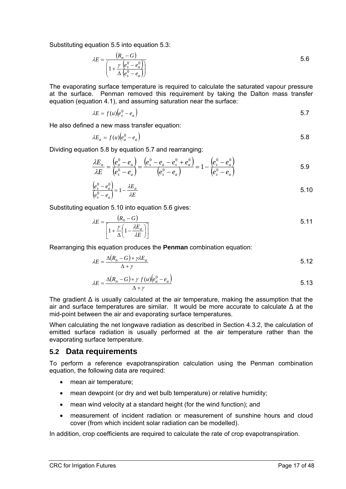Substituting equation 5.5 into equation 5.3:

$$
\lambda E = \frac{(R_n - G)}{\left(1 + \frac{\gamma}{\Delta} \frac{\left(e_s^0 - e_a^0\right)}{\left(e_s^0 - e_a\right)}\right)}
$$
5.6

The evaporating surface temperature is required to calculate the saturated vapour pressure at the surface. Penman removed this requirement by taking the Dalton mass transfer equation (equation 4.1), and assuming saturation near the surface:

$$
\lambda E = f(u) \left( e_s^0 - e_a \right) \tag{5.7}
$$

He also defined a new mass transfer equation:

$$
\lambda E_a = f(u)\left(e_a^0 - e_a\right) \tag{5.8}
$$

Dividing equation 5.8 by equation 5.7 and rearranging:

$$
\frac{\lambda E_a}{\lambda E} = \frac{\left(e_a^0 - e_a\right)}{\left(e_s^0 - e_a\right)} = \frac{\left(e_s^0 - e_a - e_s^0 + e_a^0\right)}{\left(e_s^0 - e_a\right)} = 1 - \frac{\left(e_s^0 - e_a^0\right)}{\left(e_s^0 - e_a\right)}
$$
\n
$$
\tag{5.9}
$$

$$
\frac{\left(e_s^0 - e_a^0\right)}{\left(e_s^0 - e_a\right)} = 1 - \frac{\lambda E_a}{\lambda E}
$$
\n5.10

Substituting equation 5.10 into equation 5.6 gives:

$$
\lambda E = \frac{(R_n - G)}{\left[1 + \frac{\gamma}{\Delta} \left(1 - \frac{\lambda E_a}{\lambda E}\right)\right]}
$$
5.11

Rearranging this equation produces the **Penman** combination equation:

$$
\lambda E = \frac{\Delta (R_n - G) + \gamma \lambda E_a}{\Delta + \gamma} \tag{5.12}
$$

$$
\lambda E = \frac{\Delta (R_n - G) + \gamma f(u) \left(e_a^0 - e_a\right)}{\Delta + \gamma}
$$

The gradient  $\Delta$  is usually calculated at the air temperature, making the assumption that the air and surface temperatures are similar. It would be more accurate to calculate Δ at the mid-point between the air and evaporating surface temperatures.

When calculating the net longwave radiation as described in Section 4.3.2, the calculation of emitted surface radiation is usually performed at the air temperature rather than the evaporating surface temperature.

### **5.2 Data requirements**

To perform a reference evapotranspiration calculation using the Penman combination equation, the following data are required:

- mean air temperature;
- mean dewpoint (or dry and wet bulb temperature) or relative humidity;
- mean wind velocity at a standard height (for the wind function); and
- measurement of incident radiation or measurement of sunshine hours and cloud cover (from which incident solar radiation can be modelled).

In addition, crop coefficients are required to calculate the rate of crop evapotranspiration.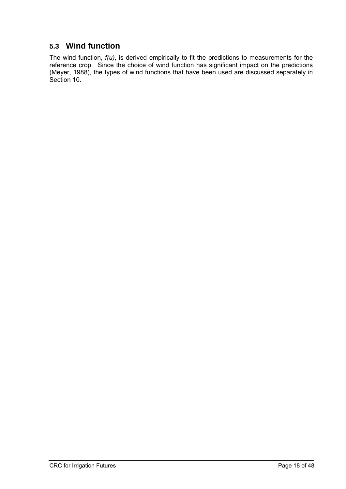# **5.3 Wind function**

The wind function, *f(u)*, is derived empirically to fit the predictions to measurements for the reference crop. Since the choice of wind function has significant impact on the predictions (Meyer, 1988), the types of wind functions that have been used are discussed separately in Section 10.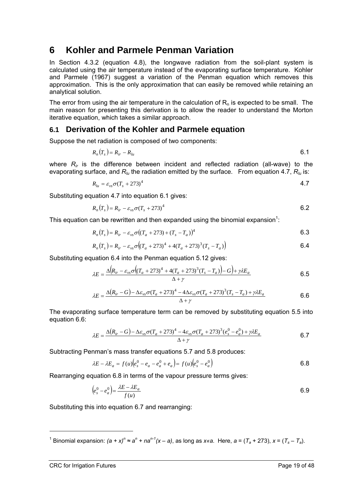# **6 Kohler and Parmele Penman Variation**

In Section 4.3.2 (equation 4.8), the longwave radiation from the soil-plant system is calculated using the air temperature instead of the evaporating surface temperature. Kohler and Parmele (1967) suggest a variation of the Penman equation which removes this approximation. This is the only approximation that can easily be removed while retaining an analytical solution.

The error from using the air temperature in the calculation of  $R_n$  is expected to be small. The main reason for presenting this derivation is to allow the reader to understand the Morton iterative equation, which takes a similar approach.

## **6.1 Derivation of the Kohler and Parmele equation**

Suppose the net radiation is composed of two components:

$$
R_n(T_s) = R_{ir} - R_{lu} \tag{6.1}
$$

where *Rir* is the difference between incident and reflected radiation (all-wave) to the evaporating surface, and *Rlu* the radiation emitted by the surface. From equation 4.7, *Rlu* is:

$$
R_{lu} = \varepsilon_{vs} \sigma (T_s + 273)^4 \tag{4.7}
$$

Substituting equation 4.7 into equation 6.1 gives:

$$
R_n(T_s) = R_{ir} - \varepsilon_{vs} \sigma (T_s + 273)^4
$$

This equation can be rewritten and then expanded using the binomial expansion<sup>1</sup>:

$$
R_n(T_s) = R_{ir} - \varepsilon_{vs} \sigma ((T_a + 273) + (T_s - T_a))^4
$$

$$
R_n(T_s) = R_{ir} - \varepsilon_{vs} \sigma \Big( (T_a + 273)^4 + 4(T_a + 273)^3 (T_s - T_a) \Big)
$$

Substituting equation 6.4 into the Penman equation 5.12 gives:

$$
\lambda E = \frac{\Delta \left(R_{ir} - \varepsilon_{vs}\sigma \left(\left(T_a + 273\right)^4 + 4\left(T_a + 273\right)^3 \left(T_s - T_a\right)\right) - G\right) + \gamma \lambda E_a}{\Delta + \gamma} \tag{6.5}
$$

$$
\lambda E = \frac{\Delta (R_{ir} - G) - \Delta \varepsilon_{vs} \sigma (T_a + 273)^4 - 4\Delta \varepsilon_{vs} \sigma (T_a + 273)^3 (T_s - T_a) + \gamma \lambda E_a}{\Delta + \gamma}
$$
6.6

The evaporating surface temperature term can be removed by substituting equation 5.5 into equation 6.6:

$$
\lambda E = \frac{\Delta (R_{ir} - G) - \Delta \varepsilon_{vs} \sigma (T_a + 273)^4 - 4\varepsilon_{vs} \sigma (T_a + 273)^3 (e_s^0 - e_a^0) + \gamma \lambda E_a}{\Delta + \gamma}
$$
6.7

Subtracting Penman's mass transfer equations 5.7 and 5.8 produces:

$$
\lambda E - \lambda E_a = f(u) \Big( e_s^0 - e_a - e_a^0 + e_a \Big) = f(u) \Big( e_s^0 - e_a^0 \Big) \tag{6.8}
$$

Rearranging equation 6.8 in terms of the vapour pressure terms gives:

$$
\left(e_s^0 - e_a^0\right) = \frac{\lambda E - \lambda E_a}{f(u)}\tag{6.9}
$$

Substituting this into equation 6.7 and rearranging:

<sup>1</sup> Binomial expansion:  $(a + x)^n ≈ a^n + na^{n-1}(x - a)$ , as long as x«a. Here,  $a = (T_a + 273)$ ,  $x = (T_s - T_a)$ .

-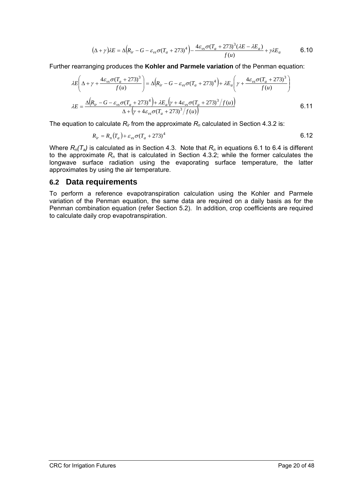$$
(\Delta + \gamma)\lambda E = \Delta \Big(R_{ir} - G - \varepsilon_{vs}\sigma (T_a + 273)^4\Big) - \frac{4\varepsilon_{vs}\sigma (T_a + 273)^3(\lambda E - \lambda E_a)}{f(u)} + \gamma\lambda E_a \tag{6.10}
$$

Further rearranging produces the **Kohler and Parmele variation** of the Penman equation:

$$
\lambda E\left(\Delta + \gamma + \frac{4\varepsilon_{vs}\sigma(T_a + 273)^3}{f(u)}\right) = \Delta\left(R_{ir} - G - \varepsilon_{vs}\sigma(T_a + 273)^4\right) + \lambda E_a\left(\gamma + \frac{4\varepsilon_{vs}\sigma(T_a + 273)^3}{f(u)}\right)
$$

$$
\lambda E = \frac{\Delta\left(R_{ir} - G - \varepsilon_{vs}\sigma(T_a + 273)^4\right) + \lambda E_a\left(\gamma + 4\varepsilon_{vs}\sigma(T_a + 273)^3/f(u)\right)}{\Delta + \left(\gamma + 4\varepsilon_{vs}\sigma(T_a + 273)^3/f(u)\right)}
$$
6.11

The equation to calculate  $R_i$  from the approximate  $R_i$  calculated in Section 4.3.2 is:

$$
R_{ir} = R_n \left( T_a \right) + \varepsilon_{vs} \sigma \left( T_a + 273 \right)^4 \tag{6.12}
$$

Where  $R_n(T_a)$  is calculated as in Section 4.3. Note that  $R_n$  in equations 6.1 to 6.4 is different to the approximate  $R_n$  that is calculated in Section 4.3.2; while the former calculates the longwave surface radiation using the evaporating surface temperature, the latter approximates by using the air temperature.

#### **6.2 Data requirements**

To perform a reference evapotranspiration calculation using the Kohler and Parmele variation of the Penman equation, the same data are required on a daily basis as for the Penman combination equation (refer Section 5.2). In addition, crop coefficients are required to calculate daily crop evapotranspiration.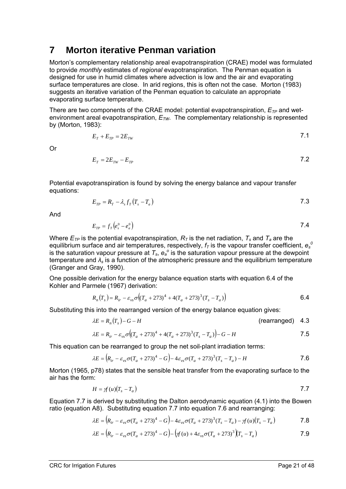# **7 Morton iterative Penman variation**

Morton's complementary relationship areal evapotranspiration (CRAE) model was formulated to provide *monthly* estimates of *regional* evapotranspiration. The Penman equation is designed for use in humid climates where advection is low and the air and evaporating surface temperatures are close. In arid regions, this is often not the case. Morton (1983) suggests an iterative variation of the Penman equation to calculate an appropriate evaporating surface temperature.

There are two components of the CRAE model: potential evapotranspiration,  $E_{TP}$  and wetenvironment areal evapotranspiration,  $E_{\text{TW}}$ . The complementary relationship is represented by (Morton, 1983):

$$
E_T + E_{TP} = 2E_{TW}
$$

Or

$$
E_T = 2E_{TW} - E_{TP}
$$

Potential evapotranspiration is found by solving the energy balance and vapour transfer equations:

$$
E_{TP} = R_T - \lambda_s f_T (T_s - T_a)
$$

And

$$
E_{TP} = f_T \left( e_s^0 - e_a^0 \right) \tag{7.4}
$$

Where  $E_{TP}$  is the potential evapotranspiration,  $R_T$  is the net radiation,  $T_s$  and  $T_a$  are the equilibrium surface and air temperatures, respectively,  $f<sub>T</sub>$  is the vapour transfer coefficient,  $\mathbf{e}_{s}^{\mathcal{S}}$ is the saturation vapour pressure at  $T_s$ ,  $e_a^o$  is the saturation vapour pressure at the dewpoint temperature and *λs* is a function of the atmospheric pressure and the equilibrium temperature (Granger and Gray, 1990).

One possible derivation for the energy balance equation starts with equation 6.4 of the Kohler and Parmele (1967) derivation:

$$
R_n(T_s) = R_{ir} - \varepsilon_{vs} \sigma \Big( (T_a + 273)^4 + 4(T_a + 273)^3 (T_s - T_a) \Big)
$$

Substituting this into the rearranged version of the energy balance equation gives:

$$
\lambda E = R_n(T_s) - G - H \tag{rearranged} \tag{4.3}
$$

$$
\lambda E = R_{ir} - \varepsilon_{vs} \sigma \Big( (T_a + 273)^4 + 4(T_a + 273)^3 (T_s - T_a) \Big) - G - H \tag{7.5}
$$

This equation can be rearranged to group the net soil-plant irradiation terms:

$$
\lambda E = (R_{ir} - \varepsilon_{vs} \sigma (T_a + 273)^4 - G) - 4\varepsilon_{vs} \sigma (T_a + 273)^3 (T_s - T_a) - H
$$

Morton (1965, p78) states that the sensible heat transfer from the evaporating surface to the air has the form:

$$
H = \mathcal{J}(u)(T_s - T_a) \tag{7.7}
$$

Equation 7.7 is derived by substituting the Dalton aerodynamic equation (4.1) into the Bowen ratio (equation A8). Substituting equation 7.7 into equation 7.6 and rearranging:

$$
\lambda E = \left(R_{ir} - \varepsilon_{vs}\sigma(T_a + 273)^4 - G\right) - 4\varepsilon_{vs}\sigma(T_a + 273)^3(T_s - T_a) - \mathcal{J}(u)(T_s - T_a)
$$

$$
\lambda E = \left(R_{ir} - \varepsilon_{vs}\sigma(T_a + 273)^4 - G\right) - \left(yf(u) + 4\varepsilon_{vs}\sigma(T_a + 273)^3\right)\left(T_s - T_a\right)
$$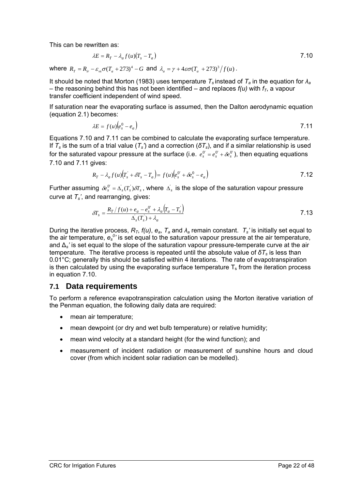This can be rewritten as:

$$
\lambda E = R_T - \lambda_a f(u) (T_s - T_a) \tag{7.10}
$$

where  $R_T = R_{ir} - \varepsilon_{vr} \sigma (T_a + 273)^4 - G$  and  $\lambda_a = \gamma + 4\varepsilon \sigma (T_a + 273)^3 / f(u)$ .

It should be noted that Morton (1983) uses temperature *Ts* instead of *Ta* in the equation for *λ<sup>a</sup>* – the reasoning behind this has not been identified – and replaces  $f(u)$  with  $f<sub>T</sub>$ , a vapour transfer coefficient independent of wind speed.

If saturation near the evaporating surface is assumed, then the Dalton aerodynamic equation (equation 2.1) becomes:

$$
\lambda E = f(u)\left(e_s^0 - e_a\right) \tag{7.11}
$$

Equations 7.10 and 7.11 can be combined to calculate the evaporating surface temperature. If  $T_s$  is the sum of a trial value ( $T_s$ <sup>'</sup>) and a correction ( $\delta T_s$ ), and if a similar relationship is used for the saturated vapour pressure at the surface (i.e.  $e^0_s = e^0_s + \delta e^0_s$ ), then equating equations 7.10 and 7.11 gives:

$$
R_T - \lambda_a f(u) \Big( T_s + \delta T_s - T_a \Big) = f(u) \Big( e_s^0 + \delta e_s^0 - e_a \Big)
$$

Further assuming  $\delta e_s^0 = \Delta_s(\vec{T}_s) \delta \vec{T}_s$ , where  $\Delta_s$  is the slope of the saturation vapour pressure curve at *Ts'*, and rearranging, gives:

$$
\delta T_s = \frac{R_T/f(u) + e_a - e_s^0 + \lambda_a (T_a - T_s)}{\Delta_s (T_s) + \lambda_a}
$$

During the iterative process,  $R_T$ ,  $f(u)$ ,  $e_a$ ,  $T_a$  and  $\lambda_a$  remain constant.  $T_s$ ' is initially set equal to the air temperature,  $e_s^{\theta'}$  is set equal to the saturation vapour pressure at the air temperature, and Δ*s'* is set equal to the slope of the saturation vapour pressure-temperate curve at the air temperature. The iterative process is repeated until the absolute value of *δTs* is less than 0.01°C; generally this should be satisfied within 4 iterations. The rate of evapotranspiration is then calculated by using the evaporating surface temperature  $T_s$  from the iteration process in equation 7.10.

### **7.1 Data requirements**

To perform a reference evapotranspiration calculation using the Morton iterative variation of the Penman equation, the following daily data are required:

- mean air temperature:
- mean dewpoint (or dry and wet bulb temperature) or relative humidity;
- mean wind velocity at a standard height (for the wind function); and
- measurement of incident radiation or measurement of sunshine hours and cloud cover (from which incident solar radiation can be modelled).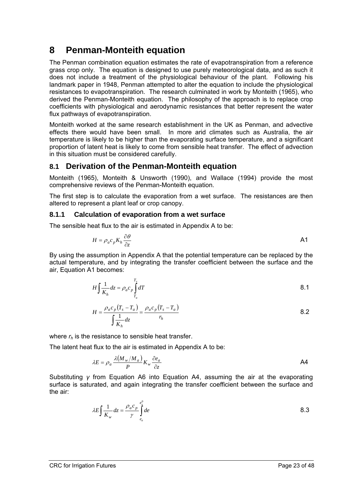# **8 Penman-Monteith equation**

The Penman combination equation estimates the rate of evapotranspiration from a reference grass crop only. The equation is designed to use purely meteorological data, and as such it does not include a treatment of the physiological behaviour of the plant. Following his landmark paper in 1948, Penman attempted to alter the equation to include the physiological resistances to evapotranspiration. The research culminated in work by Monteith (1965), who derived the Penman-Monteith equation. The philosophy of the approach is to replace crop coefficients with physiological and aerodynamic resistances that better represent the water flux pathways of evapotranspiration.

Monteith worked at the same research establishment in the UK as Penman, and advective effects there would have been small. In more arid climates such as Australia, the air temperature is likely to be higher than the evaporating surface temperature, and a significant proportion of latent heat is likely to come from sensible heat transfer. The effect of advection in this situation must be considered carefully.

# **8.1 Derivation of the Penman-Monteith equation**

Monteith (1965), Monteith & Unsworth (1990), and Wallace (1994) provide the most comprehensive reviews of the Penman-Monteith equation.

The first step is to calculate the evaporation from a wet surface. The resistances are then altered to represent a plant leaf or crop canopy.

### **8.1.1 Calculation of evaporation from a wet surface**

The sensible heat flux to the air is estimated in Appendix A to be:

$$
H = \rho_a c_p K_h \frac{\partial \theta}{\partial z}
$$

By using the assumption in Appendix A that the potential temperature can be replaced by the actual temperature, and by integrating the transfer coefficient between the surface and the air, Equation A1 becomes:

$$
H\int \frac{1}{K_h} dz = \rho_a c_p \int_{T_a}^{T_s} dT
$$

$$
H = \frac{\rho_a c_p (T_s - T_a)}{\int \frac{1}{K_h} dz} = \frac{\rho_a c_p (T_s - T_a)}{r_h}
$$

where  $r<sub>h</sub>$  is the resistance to sensible heat transfer.

The latent heat flux to the air is estimated in Appendix A to be:

$$
\lambda E = \rho_a \frac{\lambda (M_w / M_a)}{P} K_w \frac{\partial e_a}{\partial z}
$$

Substituting *γ* from Equation A6 into Equation A4, assuming the air at the evaporating surface is saturated, and again integrating the transfer coefficient between the surface and the air:

$$
\lambda E \int \frac{1}{K_w} dz = \frac{\rho_a c_p}{\gamma} \int_{e_a}^{e_s^0} de \tag{8.3}
$$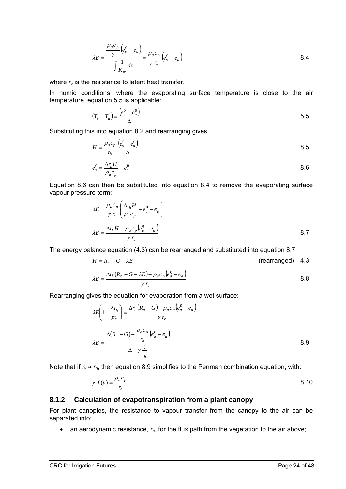$$
\lambda E = \frac{\frac{\rho_a c_p}{\gamma} (e_s^0 - e_a)}{\int \frac{1}{K_w} dz} = \frac{\rho_a c_p}{\gamma r_v} (e_s^0 - e_a)
$$
8.4

where  $r_v$  is the resistance to latent heat transfer.

In humid conditions, where the evaporating surface temperature is close to the air temperature, equation 5.5 is applicable:

$$
(T_s - T_a) = \frac{\left(e_s^0 - e_a^0\right)}{\Delta} \tag{5.5}
$$

Substituting this into equation 8.2 and rearranging gives:

$$
H = \frac{\rho_a c_p}{r_h} \frac{\left(e_s^0 - e_a^0\right)}{\Delta} \tag{8.5}
$$

$$
e_s^0 = \frac{\Delta r_h H}{\rho_a c_p} + e_a^0 \tag{8.6}
$$

Equation 8.6 can then be substituted into equation 8.4 to remove the evaporating surface vapour pressure term:

$$
\lambda E = \frac{\rho_a c_p}{\gamma r_v} \left( \frac{\Delta r_h H}{\rho_a c_p} + e_a^0 - e_a \right)
$$
  

$$
\lambda E = \frac{\Delta r_h H + \rho_a c_p \left( e_a^0 - e_a \right)}{\gamma r_v}
$$
8.7

The energy balance equation (4.3) can be rearranged and substituted into equation 8.7:

$$
H = R_n - G - \lambda E \tag{rearranged} \tag{4.3}
$$

$$
\lambda E = \frac{\Delta r_h (R_n - G - \lambda E) + \rho_a c_p (e_a^0 - e_a)}{\gamma r_v}
$$
 8.8

Rearranging gives the equation for evaporation from a wet surface:

$$
\lambda E\left(1 + \frac{\Delta r_h}{\gamma r_v}\right) = \frac{\Delta r_h (R_n - G) + \rho_a c_p (e_a^0 - e_a)}{\gamma r_v}
$$

$$
\lambda E = \frac{\Delta (R_n - G) + \frac{\rho_a c_p}{r_h} (e_a^0 - e_a)}{\Delta + \gamma \frac{r_v}{r_h}}
$$
8.9

Note that if  $r_v \approx r_h$ , then equation 8.9 simplifies to the Penman combination equation, with:

$$
\gamma f(u) = \frac{\rho_a c_p}{r_h} \tag{8.10}
$$

#### **8.1.2 Calculation of evapotranspiration from a plant canopy**

For plant canopies, the resistance to vapour transfer from the canopy to the air can be separated into:

• an aerodynamic resistance,  $r_a$ , for the flux path from the vegetation to the air above;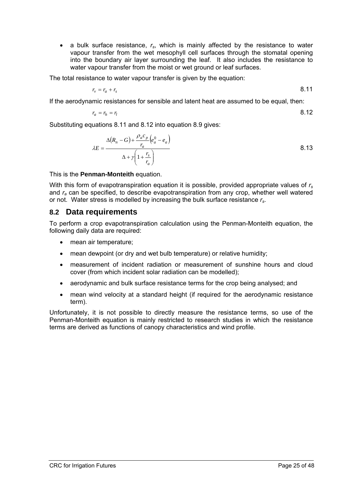• a bulk surface resistance, *rs*, which is mainly affected by the resistance to water vapour transfer from the wet mesophyll cell surfaces through the stomatal opening into the boundary air layer surrounding the leaf. It also includes the resistance to water vapour transfer from the moist or wet ground or leaf surfaces.

The total resistance to water vapour transfer is given by the equation:

$$
r_v = r_a + r_s \tag{8.11}
$$

If the aerodynamic resistances for sensible and latent heat are assumed to be equal, then:

$$
r_a = r_h = r_l \tag{8.12}
$$

Substituting equations 8.11 and 8.12 into equation 8.9 gives:

$$
\lambda E = \frac{\Delta (R_n - G) + \frac{\rho_a c_p}{r_a} \left(e_a^0 - e_a\right)}{\Delta + \gamma \left(1 + \frac{r_s}{r_a}\right)}
$$
8.13

This is the **Penman-Monteith** equation.

With this form of evapotranspiration equation it is possible, provided appropriate values of *rs* and  $r_a$  can be specified, to describe evapotranspiration from any crop, whether well watered or not. Water stress is modelled by increasing the bulk surface resistance *rs*.

### **8.2 Data requirements**

To perform a crop evapotranspiration calculation using the Penman-Monteith equation, the following daily data are required:

- mean air temperature;
- mean dewpoint (or dry and wet bulb temperature) or relative humidity;
- measurement of incident radiation or measurement of sunshine hours and cloud cover (from which incident solar radiation can be modelled);
- aerodynamic and bulk surface resistance terms for the crop being analysed; and
- mean wind velocity at a standard height (if required for the aerodynamic resistance term).

Unfortunately, it is not possible to directly measure the resistance terms, so use of the Penman-Monteith equation is mainly restricted to research studies in which the resistance terms are derived as functions of canopy characteristics and wind profile.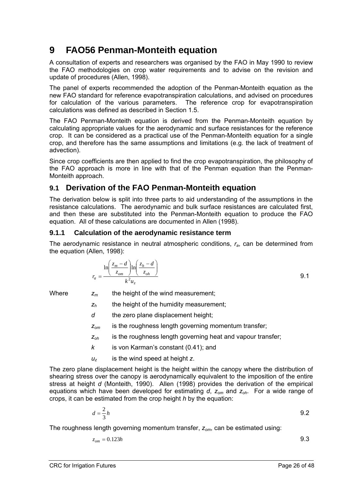# **9 FAO56 Penman-Monteith equation**

A consultation of experts and researchers was organised by the FAO in May 1990 to review the FAO methodologies on crop water requirements and to advise on the revision and update of procedures (Allen, 1998).

The panel of experts recommended the adoption of the Penman-Monteith equation as the new FAO standard for reference evapotranspiration calculations, and advised on procedures for calculation of the various parameters. The reference crop for evapotranspiration calculations was defined as described in Section 1.5.

The FAO Penman-Monteith equation is derived from the Penman-Monteith equation by calculating appropriate values for the aerodynamic and surface resistances for the reference crop. It can be considered as a practical use of the Penman-Monteith equation for a single crop, and therefore has the same assumptions and limitations (e.g. the lack of treatment of advection).

Since crop coefficients are then applied to find the crop evapotranspiration, the philosophy of the FAO approach is more in line with that of the Penman equation than the Penman-Monteith approach.

# **9.1 Derivation of the FAO Penman-Monteith equation**

The derivation below is split into three parts to aid understanding of the assumptions in the resistance calculations. The aerodynamic and bulk surface resistances are calculated first, and then these are substituted into the Penman-Monteith equation to produce the FAO equation. All of these calculations are documented in Allen (1998).

### **9.1.1 Calculation of the aerodynamic resistance term**

The aerodynamic resistance in neutral atmospheric conditions, *ra*, can be determined from the equation (Allen, 1998):

$$
r_a = \frac{\ln\left(\frac{z_m - d}{z_{om}}\right) \ln\left(\frac{z_h - d}{z_{oh}}\right)}{k^2 u_z}
$$

Where  $z_m$  the height of the wind measurement;

- *zh* the height of the humidity measurement;
- *d* the zero plane displacement height;
- *zom* is the roughness length governing momentum transfer;
- *zoh* is the roughness length governing heat and vapour transfer;
- *k* is von Karman's constant (0.41); and
- *uz* is the wind speed at height *z*.

The zero plane displacement height is the height within the canopy where the distribution of shearing stress over the canopy is aerodynamically equivalent to the imposition of the entire stress at height *d* (Monteith, 1990). Allen (1998) provides the derivation of the empirical equations which have been developed for estimating *d*, *zom* and *zoh*. For a wide range of crops, it can be estimated from the crop height *h* by the equation:

$$
d = \frac{2}{3}h
$$

The roughness length governing momentum transfer, *zom*, can be estimated using:

$$
z_{om} = 0.123h \tag{9.3}
$$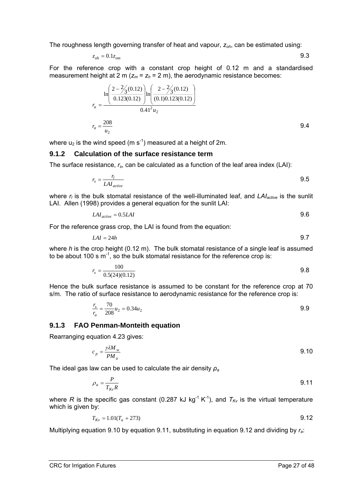The roughness length governing transfer of heat and vapour, *zoh*, can be estimated using:

$$
z_{oh} = 0.1 z_{om} \tag{9.3}
$$

For the reference crop with a constant crop height of 0.12 m and a standardised measurement height at 2 m ( $z_m = z_h = 2$  m), the aerodynamic resistance becomes:

$$
r_a = \frac{\ln\left(\frac{2 - \frac{2}{3}(0.12)}{0.123(0.12)}\right) \ln\left(\frac{2 - \frac{2}{3}(0.12)}{(0.10.123(0.12)}\right)}{0.41^2 u_2}
$$
  

$$
r_a = \frac{208}{u_2}
$$

where  $u_2$  is the wind speed (m s<sup>-1</sup>) measured at a height of 2m.

#### **9.1.2 Calculation of the surface resistance term**

The surface resistance, *rs*, can be calculated as a function of the leaf area index (LAI):

$$
r_s = \frac{r_l}{LAI_{active}}
$$

where  $r_i$  is the bulk stomatal resistance of the well-illuminated leaf, and  $LA<sub>active</sub>$  is the sunlit LAI. Allen (1998) provides a general equation for the sunlit LAI:

$$
LAI_{active} = 0.5LAI
$$

For the reference grass crop, the LAI is found from the equation:

$$
LAI = 24h \tag{9.7}
$$

where *h* is the crop height (0.12 m). The bulk stomatal resistance of a single leaf is assumed to be about 100 s  $m^{-1}$ , so the bulk stomatal resistance for the reference crop is:

$$
r_s = \frac{100}{0.5(24)(0.12)}\tag{9.8}
$$

Hence the bulk surface resistance is assumed to be constant for the reference crop at 70 s/m. The ratio of surface resistance to aerodynamic resistance for the reference crop is:

$$
\frac{r_s}{r_a} = \frac{70}{208}u_2 = 0.34u_2
$$

#### **9.1.3 FAO Penman-Monteith equation**

Rearranging equation 4.23 gives:

$$
c_p = \frac{\gamma \lambda M_w}{PM_a} \tag{9.10}
$$

The ideal gas law can be used to calculate the air density *ρ<sup>a</sup>*

$$
\rho_a = \frac{P}{T_{Kv}R} \tag{9.11}
$$

where *R* is the specific gas constant (0.287 kJ kg<sup>-1</sup> K<sup>-1</sup>), and  $T_{Kv}$  is the virtual temperature which is given by:

$$
T_{Kv} = 1.01(T_a + 273) \tag{9.12}
$$

Multiplying equation 9.10 by equation 9.11, substituting in equation 9.12 and dividing by *ra*: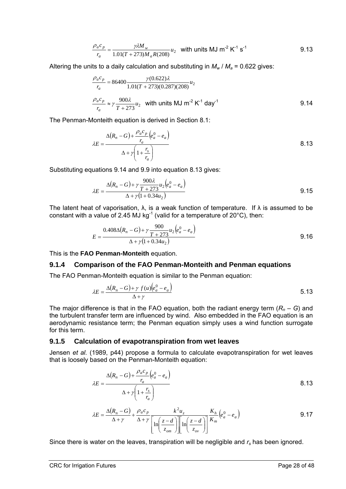$$
\frac{\rho_a c_p}{r_a} = \frac{\gamma \lambda M_w}{1.01(T + 273)M_a R(208)} u_2
$$
 with units MJ m<sup>-2</sup> K<sup>-1</sup> s<sup>-1</sup>

Altering the units to a daily calculation and substituting in  $M_w / M_a = 0.622$  gives:

$$
\frac{\rho_a c_p}{r_a} = 86400 \frac{\gamma (0.622) \lambda}{1.01(T + 273)(0.287)(208)} u_2
$$

$$
\frac{\rho_a c_p}{r_a} \approx \gamma \frac{900 \lambda}{T + 273} u_2 \quad \text{with units MJ m}^{-2} \text{ K}^{-1} \text{ day}^{-1}
$$

The Penman-Monteith equation is derived in Section 8.1:

$$
\lambda E = \frac{\Delta (R_n - G) + \frac{\rho_a c_p}{r_a} \left( e_a^0 - e_a \right)}{\Delta + \gamma \left( 1 + \frac{r_s}{r_a} \right)}
$$
8.13

Substituting equations 9.14 and 9.9 into equation 8.13 gives:

$$
\lambda E = \frac{\Delta (R_n - G) + \gamma \frac{900 \lambda}{T + 273} u_2 (e_a^0 - e_a)}{\Delta + \gamma (1 + 0.34 u_2)}
$$
9.15

The latent heat of vaporisation,  $\lambda$ , is a weak function of temperature. If  $\lambda$  is assumed to be constant with a value of 2.45 MJ kg<sup>-1</sup> (valid for a temperature of  $20^{\circ}$ C), then:

$$
E = \frac{0.408\Delta(R_n - G) + \gamma \frac{900}{T + 273} u_2 (e_a^0 - e_a)}{\Delta + \gamma (1 + 0.34 u_2)}
$$
9.16

This is the **FAO Penman-Monteith** equation.

#### **9.1.4 Comparison of the FAO Penman-Monteith and Penman equations**

The FAO Penman-Monteith equation is similar to the Penman equation:

$$
\lambda E = \frac{\Delta (R_n - G) + \gamma f(u) \left(e_a^0 - e_a\right)}{\Delta + \gamma}
$$

The major difference is that in the FAO equation, both the radiant energy term  $(R_n - G)$  and the turbulent transfer term are influenced by wind. Also embedded in the FAO equation is an aerodynamic resistance term; the Penman equation simply uses a wind function surrogate for this term.

### **9.1.5 Calculation of evapotranspiration from wet leaves**

Jensen *et al.* (1989, p44) propose a formula to calculate evapotranspiration for wet leaves that is loosely based on the Penman-Monteith equation:

$$
\lambda E = \frac{\Delta (R_n - G) + \frac{\rho_a c_p}{r_a} \left(e_a^0 - e_a\right)}{\Delta + \gamma \left(1 + \frac{r_s}{r_a}\right)}
$$
8.13

$$
\lambda E = \frac{\Delta(R_n - G)}{\Delta + \gamma} + \frac{\rho_a c_p}{\Delta + \gamma} \frac{k^2 u_z}{\left[\ln\left(\frac{z - d}{z_{om}}\right)\right] \left[\ln\left(\frac{z - d}{z_{ov}}\right)\right]} \frac{K_h}{K_m} \left(e_a^0 - e_a\right)
$$

Since there is water on the leaves, transpiration will be negligible and  $r_s$  has been ignored.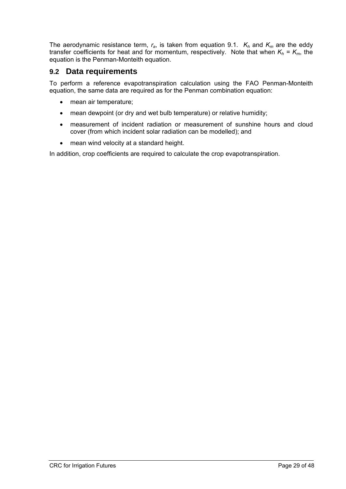The aerodynamic resistance term,  $r_a$ , is taken from equation 9.1.  $K_h$  and  $K_m$  are the eddy transfer coefficients for heat and for momentum, respectively. Note that when  $K_h = K_m$ , the equation is the Penman-Monteith equation.

# **9.2 Data requirements**

To perform a reference evapotranspiration calculation using the FAO Penman-Monteith equation, the same data are required as for the Penman combination equation:

- mean air temperature;
- mean dewpoint (or dry and wet bulb temperature) or relative humidity;
- measurement of incident radiation or measurement of sunshine hours and cloud cover (from which incident solar radiation can be modelled); and
- mean wind velocity at a standard height.

In addition, crop coefficients are required to calculate the crop evapotranspiration.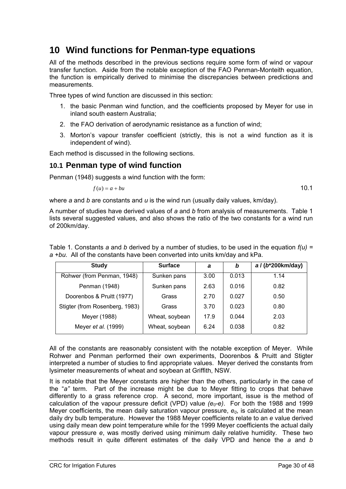# **10 Wind functions for Penman-type equations**

All of the methods described in the previous sections require some form of wind or vapour transfer function. Aside from the notable exception of the FAO Penman-Monteith equation, the function is empirically derived to minimise the discrepancies between predictions and measurements.

Three types of wind function are discussed in this section:

- 1. the basic Penman wind function, and the coefficients proposed by Meyer for use in inland south eastern Australia;
- 2. the FAO derivation of aerodynamic resistance as a function of wind;
- 3. Morton's vapour transfer coefficient (strictly, this is not a wind function as it is independent of wind).

Each method is discussed in the following sections.

# **10.1 Penman type of wind function**

Penman (1948) suggests a wind function with the form:

$$
f(u) = a + bu \tag{10.1}
$$

where *a* and *b* are constants and *u* is the wind run (usually daily values, km/day).

A number of studies have derived values of *a* and *b* from analysis of measurements. Table 1 lists several suggested values, and also shows the ratio of the two constants for a wind run of 200km/day.

| <b>Study</b>                   | <b>Surface</b> | a    | b     | $a/(b^*200km/day)$ |
|--------------------------------|----------------|------|-------|--------------------|
| Rohwer (from Penman, 1948)     | Sunken pans    | 3.00 | 0.013 | 1.14               |
| Penman (1948)                  | Sunken pans    | 2.63 | 0.016 | 0.82               |
| Doorenbos & Pruitt (1977)      | Grass          | 2.70 | 0.027 | 0.50               |
| Stigter (from Rosenberg, 1983) | Grass          | 3.70 | 0.023 | 0.80               |
| Meyer (1988)                   | Wheat, soybean | 17.9 | 0.044 | 2.03               |
| Meyer <i>et al.</i> (1999)     | Wheat, soybean | 6.24 | 0.038 | 0.82               |

Table 1. Constants *a* and *b* derived by a number of studies, to be used in the equation *f(u) = a +bu*. All of the constants have been converted into units km/day and kPa.

All of the constants are reasonably consistent with the notable exception of Meyer. While Rohwer and Penman performed their own experiments, Doorenbos & Pruitt and Stigter interpreted a number of studies to find appropriate values. Meyer derived the constants from lysimeter measurements of wheat and soybean at Griffith, NSW.

It is notable that the Meyer constants are higher than the others, particularly in the case of the "*a"* term. Part of the increase might be due to Meyer fitting to crops that behave differently to a grass reference crop. A second, more important, issue is the method of calculation of the vapour pressure deficit (VPD) value  $(e_0 - e)$ . For both the 1988 and 1999 Meyer coefficients, the mean daily saturation vapour pressure,  $e_0$ , is calculated at the mean daily dry bulb temperature. However the 1988 Meyer coefficients relate to an *e* value derived using daily mean dew point temperature while for the 1999 Meyer coefficients the actual daily vapour pressure *e*, was mostly derived using minimum daily relative humidity. These two methods result in quite different estimates of the daily VPD and hence the *a* and *b*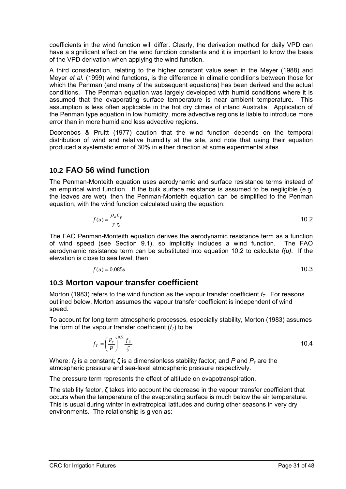coefficients in the wind function will differ. Clearly, the derivation method for daily VPD can have a significant affect on the wind function constants and it is important to know the basis of the VPD derivation when applying the wind function.

A third consideration, relating to the higher constant value seen in the Meyer (1988) and Meyer *et al.* (1999) wind functions, is the difference in climatic conditions between those for which the Penman (and many of the subsequent equations) has been derived and the actual conditions. The Penman equation was largely developed with humid conditions where it is assumed that the evaporating surface temperature is near ambient temperature. This assumption is less often applicable in the hot dry climes of inland Australia. Application of the Penman type equation in low humidity, more advective regions is liable to introduce more error than in more humid and less advective regions.

Doorenbos & Pruitt (1977) caution that the wind function depends on the temporal distribution of wind and relative humidity at the site, and note that using their equation produced a systematic error of 30% in either direction at some experimental sites.

# **10.2 FAO 56 wind function**

The Penman-Monteith equation uses aerodynamic and surface resistance terms instead of an empirical wind function. If the bulk surface resistance is assumed to be negligible (e.g. the leaves are wet), then the Penman-Monteith equation can be simplified to the Penman equation, with the wind function calculated using the equation:

$$
f(u) = \frac{\rho_a c_p}{\gamma r_a} \tag{10.2}
$$

The FAO Penman-Monteith equation derives the aerodynamic resistance term as a function of wind speed (see Section 9.1), so implicitly includes a wind function. The FAO aerodynamic resistance term can be substituted into equation 10.2 to calculate *f(u)*. If the elevation is close to sea level, then:

$$
f(u) = 0.085u \tag{10.3}
$$

## **10.3 Morton vapour transfer coefficient**

Morton (1983) refers to the wind function as the vapour transfer coefficient  $f<sub>T</sub>$ . For reasons outlined below, Morton assumes the vapour transfer coefficient is independent of wind speed.

To account for long term atmospheric processes, especially stability, Morton (1983) assumes the form of the vapour transfer coefficient  $(f<sub>T</sub>)$  to be:

$$
f_T = \left(\frac{P_s}{P}\right)^{0.5} \frac{f_Z}{\zeta} \tag{10.4}
$$

Where: *f<sub>z</sub>* is a constant; ζ is a dimensionless stability factor; and *P* and *P<sub>s</sub>* are the atmospheric pressure and sea-level atmospheric pressure respectively.

The pressure term represents the effect of altitude on evapotranspiration.

The stability factor, ζ takes into account the decrease in the vapour transfer coefficient that occurs when the temperature of the evaporating surface is much below the air temperature. This is usual during winter in extratropical latitudes and during other seasons in very dry environments. The relationship is given as: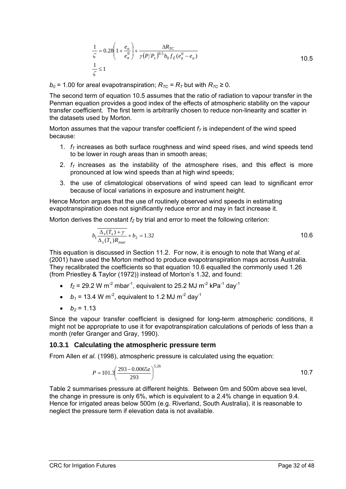$$
\frac{1}{\zeta} = 0.28 \left( 1 + \frac{e_a}{e_a^0} \right) + \frac{\Delta R_{TC}}{\gamma (P/P_s)^{0.5} b_0 f_Z (e_a^0 - e_a)} \tag{10.5}
$$

 $b_0$  = 1.00 for areal evapotranspiration;  $R_{TC}$  =  $R_T$  but with  $R_{TC}$  ≥ 0.

The second term of equation 10.5 assumes that the ratio of radiation to vapour transfer in the Penman equation provides a good index of the effects of atmospheric stability on the vapour transfer coefficient. The first term is arbitrarily chosen to reduce non-linearity and scatter in the datasets used by Morton.

Morton assumes that the vapour transfer coefficient  $f<sub>T</sub>$  is independent of the wind speed because:

- 1. *f<sub>r</sub>* increases as both surface roughness and wind speed rises, and wind speeds tend to be lower in rough areas than in smooth areas;
- 2.  $f<sub>T</sub>$  increases as the instability of the atmosphere rises, and this effect is more pronounced at low wind speeds than at high wind speeds;
- 3. the use of climatological observations of wind speed can lead to significant error because of local variations in exposure and instrument height.

Hence Morton argues that the use of routinely observed wind speeds in estimating evapotranspiration does not significantly reduce error and may in fact increase it.

Morton derives the constant  $f<sub>z</sub>$  by trial and error to meet the following criterion:

$$
b_1 \frac{\overline{\Delta_s(T_s) + \gamma}}{\Delta_s(T_s)R_{nsur}} + b_2 = 1.32
$$

This equation is discussed in Section 11.2. For now, it is enough to note that Wang *et al.* (2001) have used the Morton method to produce evapotranspiration maps across Australia. They recalibrated the coefficients so that equation 10.6 equalled the commonly used 1.26 (from Priestley & Taylor (1972)) instead of Morton's 1.32, and found:

- $f_7$  = 29.2 W m<sup>-2</sup> mbar<sup>-1</sup>, equivalent to 25.2 MJ m<sup>-2</sup> kPa<sup>-1</sup> day<sup>-1</sup>
- $b_1 = 13.4 \text{ W m}^2$ , equivalent to 1.2 MJ m<sup>-2</sup> day<sup>-1</sup>
- $b_2 = 1.13$

Since the vapour transfer coefficient is designed for long-term atmospheric conditions, it might not be appropriate to use it for evapotranspiration calculations of periods of less than a month (refer Granger and Gray, 1990).

#### **10.3.1 Calculating the atmospheric pressure term**

From Allen *et al.* (1998), atmospheric pressure is calculated using the equation:

$$
P = 101.3 \left( \frac{293 - 0.0065z}{293} \right)^{5.26}
$$

Table 2 summarises pressure at different heights. Between 0m and 500m above sea level, the change in pressure is only 6%, which is equivalent to a 2.4% change in equation 9.4. Hence for irrigated areas below 500m (e.g. Riverland, South Australia), it is reasonable to neglect the pressure term if elevation data is not available.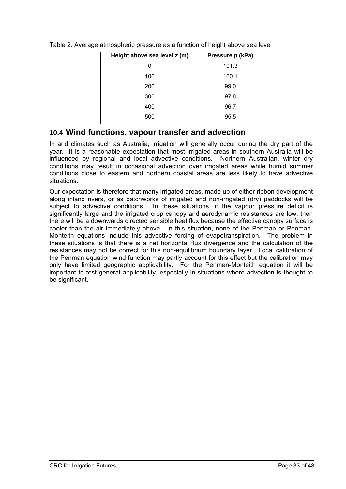| Height above sea level $z(m)$ | Pressure p (kPa) |
|-------------------------------|------------------|
|                               | 101.3            |
| 100                           | 100.1            |
| 200                           | 99.0             |
| 300                           | 97.8             |
| 400                           | 96.7             |
| 500                           | 95.5             |

Table 2. Average atmospheric pressure as a function of height above sea level

## **10.4 Wind functions, vapour transfer and advection**

In arid climates such as Australia, irrigation will generally occur during the dry part of the year. It is a reasonable expectation that most irrigated areas in southern Australia will be influenced by regional and local advective conditions. Northern Australian, winter dry conditions may result in occasional advection over irrigated areas while humid summer conditions close to eastern and northern coastal areas are less likely to have advective situations.

Our expectation is therefore that many irrigated areas, made up of either ribbon development along inland rivers, or as patchworks of irrigated and non-irrigated (dry) paddocks will be subject to advective conditions. In these situations, if the vapour pressure deficit is significantly large and the irrigated crop canopy and aerodynamic resistances are low, then there will be a downwards directed sensible heat flux because the effective canopy surface is cooler than the air immediately above. In this situation, none of the Penman or Penman-Monteith equations include this advective forcing of evapotranspiration. The problem in these situations is that there is a net horizontal flux divergence and the calculation of the resistances may not be correct for this non-equilibrium boundary layer. Local calibration of the Penman equation wind function may partly account for this effect but the calibration may only have limited geographic applicability. For the Penman-Monteith equation it will be important to test general applicability, especially in situations where advection is thought to be significant.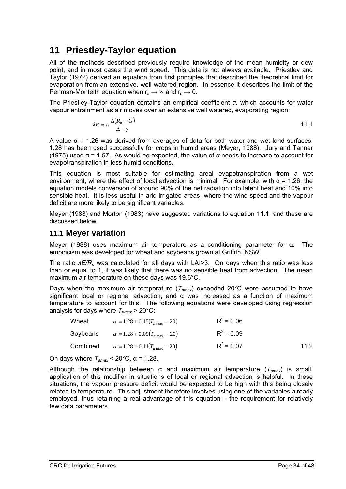# **11 Priestley-Taylor equation**

All of the methods described previously require knowledge of the mean humidity or dew point, and in most cases the wind speed. This data is not always available. Priestley and Taylor (1972) derived an equation from first principles that described the theoretical limit for evaporation from an extensive, well watered region. In essence it describes the limit of the Penman-Monteith equation when  $r_a \rightarrow \infty$  and  $r_s \rightarrow 0$ .

The Priestley-Taylor equation contains an empirical coefficient *α,* which accounts for water vapour entrainment as air moves over an extensive well watered, evaporating region:

$$
\lambda E = \alpha \frac{\Delta (R_n - G)}{\Delta + \gamma} \tag{11.1}
$$

A value  $\alpha$  = 1.26 was derived from averages of data for both water and wet land surfaces. 1.28 has been used successfully for crops in humid areas (Meyer, 1988). Jury and Tanner (1975) used α = 1.57. As would be expected, the value of *α* needs to increase to account for evapotranspiration in less humid conditions.

This equation is most suitable for estimating areal evapotranspiration from a wet environment, where the effect of local advection is minimal. For example, with  $\alpha$  = 1.26, the equation models conversion of around 90% of the net radiation into latent heat and 10% into sensible heat. It is less useful in arid irrigated areas, where the wind speed and the vapour deficit are more likely to be significant variables.

Meyer (1988) and Morton (1983) have suggested variations to equation 11.1, and these are discussed below.

### **11.1 Meyer variation**

Meyer (1988) uses maximum air temperature as a conditioning parameter for α. The empiricism was developed for wheat and soybeans grown at Griffith, NSW.

The ratio *λE/Rn* was calculated for all days with LAI>3. On days when this ratio was less than or equal to 1, it was likely that there was no sensible heat from advection. The mean maximum air temperature on these days was 19.6°C.

Days when the maximum air temperature  $(T_{amax})$  exceeded 20°C were assumed to have significant local or regional advection, and  $\alpha$  was increased as a function of maximum temperature to account for this. The following equations were developed using regression analysis for days where  $T_{\text{amax}}$  > 20°C:

| Wheat | $\alpha = 1.28 + 0.15(T_{a\,\text{max}} - 20)$          | $R^2$ = 0.06 |      |
|-------|---------------------------------------------------------|--------------|------|
|       | Soybeans $\alpha = 1.28 + 0.09(T_{a\,\text{max}} - 20)$ | $R^2$ = 0.09 |      |
|       | Combined $\alpha = 1.28 + 0.11(T_{a\,\text{max}} - 20)$ | $R^2$ = 0.07 | 11.2 |

On days where  $T_{\text{amax}}$  < 20°C,  $\alpha$  = 1.28.

Although the relationship between α and maximum air temperature (*Tamax*) is small, application of this modifier in situations of local or regional advection is helpful. In these situations, the vapour pressure deficit would be expected to be high with this being closely related to temperature. This adjustment therefore involves using one of the variables already employed, thus retaining a real advantage of this equation – the requirement for relatively few data parameters.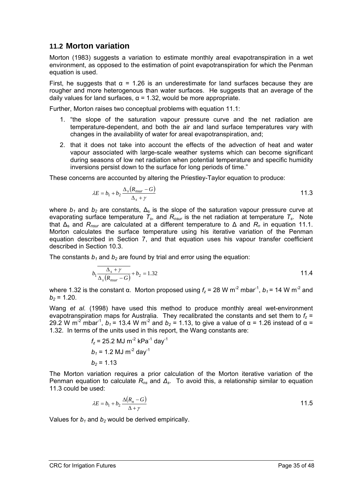## **11.2 Morton variation**

Morton (1983) suggests a variation to estimate monthly areal evapotranspiration in a wet environment, as opposed to the estimation of point evapotranspiration for which the Penman equation is used.

First, he suggests that  $\alpha = 1.26$  is an underestimate for land surfaces because they are rougher and more heterogenous than water surfaces. He suggests that an average of the daily values for land surfaces,  $\alpha$  = 1.32, would be more appropriate.

Further, Morton raises two conceptual problems with equation 11.1:

- 1. "the slope of the saturation vapour pressure curve and the net radiation are temperature-dependent, and both the air and land surface temperatures vary with changes in the availability of water for areal evapotranspiration, and;
- 2. that it does not take into account the effects of the advection of heat and water vapour associated with large-scale weather systems which can become significant during seasons of low net radiation when potential temperature and specific humidity inversions persist down to the surface for long periods of time."

These concerns are accounted by altering the Priestley-Taylor equation to produce:

$$
\lambda E = b_1 + b_2 \frac{\Delta_s (R_{nsur} - G)}{\Delta_s + \gamma}
$$

where  $b_1$  and  $b_2$  are constants,  $\Delta_s$  is the slope of the saturation vapour pressure curve at evaporating surface temperature  $T_s$ , and  $R_{nsur}$  is the net radiation at temperature  $T_s$ . Note that  $\Delta_s$  and  $R_{nsur}$  are calculated at a different temperature to  $\Delta$  and  $R_n$  in equation 11.1. Morton calculates the surface temperature using his iterative variation of the Penman equation described in Section 7, and that equation uses his vapour transfer coefficient described in Section 10.3.

The constants  $b_1$  and  $b_2$  are found by trial and error using the equation:

$$
b_1 \frac{\Delta_s + \gamma}{\Delta_s (R_{nsur} - G)} + b_2 = 1.32
$$

where 1.32 is the constant  $\alpha$ . Morton proposed using  $f_z = 28$  W m<sup>-2</sup> mbar<sup>-1</sup>,  $b_1 = 14$  W m<sup>-2</sup> and  $b_2$  = 1.20.

Wang *et al.* (1998) have used this method to produce monthly areal wet-environment evapotranspiration maps for Australia. They recalibrated the constants and set them to  $f<sub>z</sub>$  = 29.2 W m<sup>-2</sup> mbar<sup>-1</sup>, *b<sub>1</sub>* = 13.4 W m<sup>-2</sup> and *b<sub>2</sub>* = 1.13, to give a value of α = 1.26 instead of α = 1.32. In terms of the units used in this report, the Wang constants are:

$$
f_z = 25.2 \text{ MJ m}^{-2} \text{ kPa}^{-1} \text{ day}^{-1}
$$

$$
b_1 = 1.2 \text{ MJ m}^{-2} \text{ day}^{-1}
$$

$$
b_2 = 1.13
$$

The Morton variation requires a prior calculation of the Morton iterative variation of the Penman equation to calculate *Rns* and *Δs*. To avoid this, a relationship similar to equation 11.3 could be used:

$$
\lambda E = b_1 + b_2 \frac{\Delta (R_n - G)}{\Delta + \gamma} \tag{11.5}
$$

Values for  $b_1$  and  $b_2$  would be derived empirically.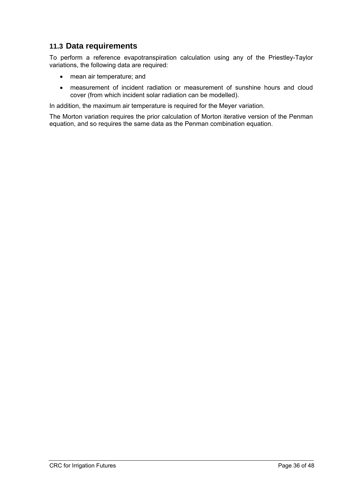# **11.3 Data requirements**

To perform a reference evapotranspiration calculation using any of the Priestley-Taylor variations, the following data are required:

- mean air temperature; and
- measurement of incident radiation or measurement of sunshine hours and cloud cover (from which incident solar radiation can be modelled).

In addition, the maximum air temperature is required for the Meyer variation.

The Morton variation requires the prior calculation of Morton iterative version of the Penman equation, and so requires the same data as the Penman combination equation.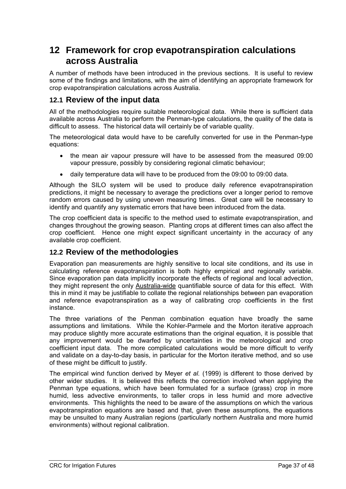# **12 Framework for crop evapotranspiration calculations across Australia**

A number of methods have been introduced in the previous sections. It is useful to review some of the findings and limitations, with the aim of identifying an appropriate framework for crop evapotranspiration calculations across Australia.

### **12.1 Review of the input data**

All of the methodologies require suitable meteorological data. While there is sufficient data available across Australia to perform the Penman-type calculations, the quality of the data is difficult to assess. The historical data will certainly be of variable quality.

The meteorological data would have to be carefully converted for use in the Penman-type equations:

- the mean air vapour pressure will have to be assessed from the measured 09:00 vapour pressure, possibly by considering regional climatic behaviour;
- daily temperature data will have to be produced from the 09:00 to 09:00 data.

Although the SILO system will be used to produce daily reference evapotranspiration predictions, it might be necessary to average the predictions over a longer period to remove random errors caused by using uneven measuring times. Great care will be necessary to identify and quantify any systematic errors that have been introduced from the data.

The crop coefficient data is specific to the method used to estimate evapotranspiration, and changes throughout the growing season. Planting crops at different times can also affect the crop coefficient. Hence one might expect significant uncertainty in the accuracy of any available crop coefficient.

## **12.2 Review of the methodologies**

Evaporation pan measurements are highly sensitive to local site conditions, and its use in calculating reference evapotranspiration is both highly empirical and regionally variable. Since evaporation pan data implicitly incorporate the effects of regional and local advection, they might represent the only Australia-wide quantifiable source of data for this effect. With this in mind it may be justifiable to collate the regional relationships between pan evaporation and reference evapotranspiration as a way of calibrating crop coefficients in the first instance.

The three variations of the Penman combination equation have broadly the same assumptions and limitations. While the Kohler-Parmele and the Morton iterative approach may produce slightly more accurate estimations than the original equation, it is possible that any improvement would be dwarfed by uncertainties in the meteorological and crop coefficient input data. The more complicated calculations would be more difficult to verify and validate on a day-to-day basis, in particular for the Morton iterative method, and so use of these might be difficult to justify.

The empirical wind function derived by Meyer *et al.* (1999) is different to those derived by other wider studies. It is believed this reflects the correction involved when applying the Penman type equations, which have been formulated for a surface (grass) crop in more humid, less advective environments, to taller crops in less humid and more advective environments. This highlights the need to be aware of the assumptions on which the various evapotranspiration equations are based and that, given these assumptions, the equations may be unsuited to many Australian regions (particularly northern Australia and more humid environments) without regional calibration.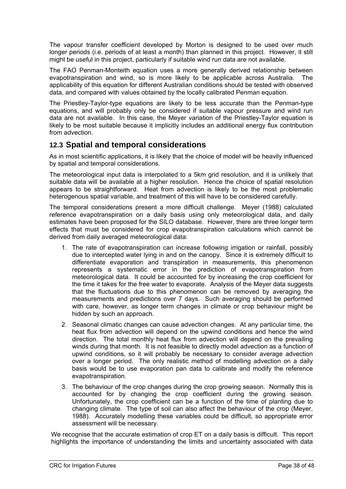The vapour transfer coefficient developed by Morton is designed to be used over much longer periods (i.e. periods of at least a month) than planned in this project. However, it still might be useful in this project, particularly if suitable wind run data are not available.

The FAO Penman-Monteith equation uses a more generally derived relationship between evapotranspiration and wind, so is more likely to be applicable across Australia. The applicability of this equation for different Australian conditions should be tested with observed data, and compared with values obtained by the locally calibrated Penman equation.

The Priestley-Taylor-type equations are likely to be less accurate than the Penman-type equations, and will probably only be considered if suitable vapour pressure and wind run data are not available. In this case, the Meyer variation of the Priestley-Taylor equation is likely to be most suitable because it implicitly includes an additional energy flux contribution from advection.

## **12.3 Spatial and temporal considerations**

As in most scientific applications, it is likely that the choice of model will be heavily influenced by spatial and temporal considerations.

The meteorological input data is interpolated to a 5km grid resolution, and it is unlikely that suitable data will be available at a higher resolution. Hence the choice of spatial resolution appears to be straightforward. Heat from advection is likely to be the most problematic heterogenous spatial variable, and treatment of this will have to be considered carefully.

The temporal considerations present a more difficult challenge. Meyer (1988) calculated reference evapotranspiration on a daily basis using only meteorological data, and daily estimates have been proposed for the SILO database. However, there are three longer term effects that must be considered for crop evapotranspiration calculations which cannot be derived from daily averaged meteorological data:

- 1. The rate of evapotranspiration can increase following irrigation or rainfall, possibly due to intercepted water lying in and on the canopy. Since it is extremely difficult to differentiate evaporation and transpiration in measurements, this phenomenon represents a systematic error in the prediction of evapotranspiration from meteorological data. It could be accounted for by increasing the crop coefficient for the time it takes for the free water to evaporate. Analysis of the Meyer data suggests that the fluctuations due to this phenomenon can be removed by averaging the measurements and predictions over 7 days. Such averaging should be performed with care, however, as longer term changes in climate or crop behaviour might be hidden by such an approach.
- 2. Seasonal climatic changes can cause advection changes. At any particular time, the heat flux from advection will depend on the upwind conditions and hence the wind direction. The total monthly heat flux from advection will depend on the prevailing winds during that month. It is not feasible to directly model advection as a function of upwind conditions, so it will probably be necessary to consider average advection over a longer period. The only realistic method of modelling advection on a daily basis would be to use evaporation pan data to calibrate and modify the reference evapotranspiration.
- 3. The behaviour of the crop changes during the crop growing season. Normally this is accounted for by changing the crop coefficient during the growing season. Unfortunately, the crop coefficient can be a function of the time of planting due to changing climate. The type of soil can also affect the behaviour of the crop (Meyer, 1988). Accurately modelling these variables could be difficult, so appropriate error assessment will be necessary.

We recognise that the accurate estimation of crop ET on a daily basis is difficult. This report highlights the importance of understanding the limits and uncertainty associated with data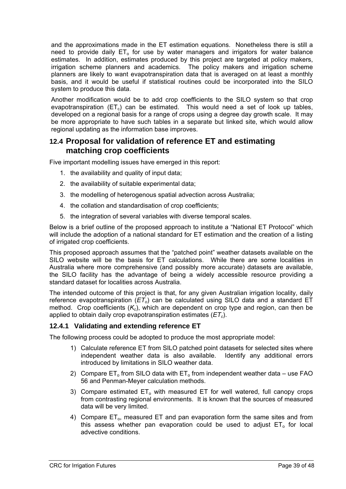and the approximations made in the ET estimation equations. Nonetheless there is still a need to provide daily  $ET_0$  for use by water managers and irrigators for water balance estimates. In addition, estimates produced by this project are targeted at policy makers, irrigation scheme planners and academics. The policy makers and irrigation scheme planners are likely to want evapotranspiration data that is averaged on at least a monthly basis, and it would be useful if statistical routines could be incorporated into the SILO system to produce this data.

Another modification would be to add crop coefficients to the SILO system so that crop evapotranspiration  $(ET_c)$  can be estimated. This would need a set of look up tables, developed on a regional basis for a range of crops using a degree day growth scale. It may be more appropriate to have such tables in a separate but linked site, which would allow regional updating as the information base improves.

# **12.4 Proposal for validation of reference ET and estimating matching crop coefficients**

Five important modelling issues have emerged in this report:

- 1. the availability and quality of input data;
- 2. the availability of suitable experimental data;
- 3. the modelling of heterogenous spatial advection across Australia;
- 4. the collation and standardisation of crop coefficients;
- 5. the integration of several variables with diverse temporal scales.

Below is a brief outline of the proposed approach to institute a "National ET Protocol" which will include the adoption of a national standard for ET estimation and the creation of a listing of irrigated crop coefficients.

This proposed approach assumes that the "patched point" weather datasets available on the SILO website will be the basis for ET calculations. While there are some localities in Australia where more comprehensive (and possibly more accurate) datasets are available, the SILO facility has the advantage of being a widely accessible resource providing a standard dataset for localities across Australia.

The intended outcome of this project is that, for any given Australian irrigation locality, daily reference evapotranspiration (*ET<sub>o</sub>*) can be calculated using SILO data and a standard ET method. Crop coefficients  $(K_c)$ , which are dependent on crop type and region, can then be applied to obtain daily crop evapotranspiration estimates (*ETc*).

### **12.4.1 Validating and extending reference ET**

The following process could be adopted to produce the most appropriate model:

- 1) Calculate reference ET from SILO patched point datasets for selected sites where independent weather data is also available. Identify any additional errors introduced by limitations in SILO weather data.
- 2) Compare  $ET_0$  from SILO data with  $ET_0$  from independent weather data use FAO 56 and Penman-Meyer calculation methods.
- 3) Compare estimated  $ET_0$  with measured ET for well watered, full canopy crops from contrasting regional environments. It is known that the sources of measured data will be very limited.
- 4) Compare  $ET<sub>o</sub>$ , measured ET and pan evaporation form the same sites and from this assess whether pan evaporation could be used to adjust  $ET_0$  for local advective conditions.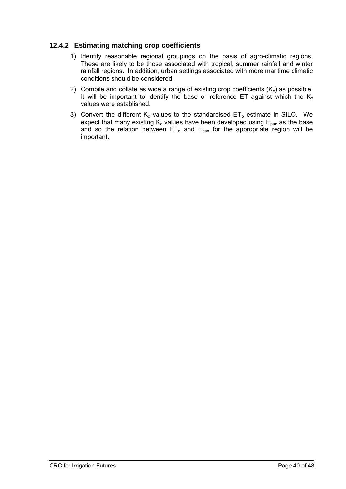### **12.4.2 Estimating matching crop coefficients**

- 1) Identify reasonable regional groupings on the basis of agro-climatic regions. These are likely to be those associated with tropical, summer rainfall and winter rainfall regions. In addition, urban settings associated with more maritime climatic conditions should be considered.
- 2) Compile and collate as wide a range of existing crop coefficients  $(K_c)$  as possible. It will be important to identify the base or reference  $ET$  against which the  $K_c$ values were established.
- 3) Convert the different  $K_c$  values to the standardised  $ET_0$  estimate in SILO. We expect that many existing  $K_c$  values have been developed using  $E_{pan}$  as the base and so the relation between  $ET_0$  and  $E_{pan}$  for the appropriate region will be important.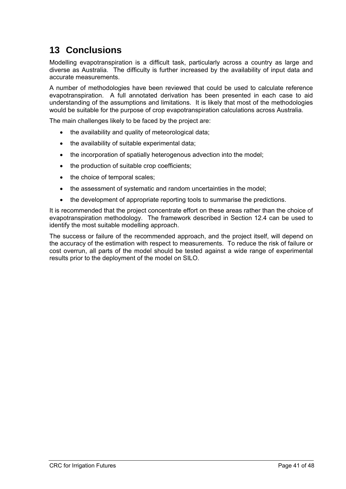# **13 Conclusions**

Modelling evapotranspiration is a difficult task, particularly across a country as large and diverse as Australia. The difficulty is further increased by the availability of input data and accurate measurements.

A number of methodologies have been reviewed that could be used to calculate reference evapotranspiration. A full annotated derivation has been presented in each case to aid understanding of the assumptions and limitations. It is likely that most of the methodologies would be suitable for the purpose of crop evapotranspiration calculations across Australia.

The main challenges likely to be faced by the project are:

- the availability and quality of meteorological data;
- the availability of suitable experimental data;
- the incorporation of spatially heterogenous advection into the model;
- the production of suitable crop coefficients:
- the choice of temporal scales;
- the assessment of systematic and random uncertainties in the model;
- the development of appropriate reporting tools to summarise the predictions.

It is recommended that the project concentrate effort on these areas rather than the choice of evapotranspiration methodology. The framework described in Section 12.4 can be used to identify the most suitable modelling approach.

The success or failure of the recommended approach, and the project itself, will depend on the accuracy of the estimation with respect to measurements. To reduce the risk of failure or cost overrun, all parts of the model should be tested against a wide range of experimental results prior to the deployment of the model on SILO.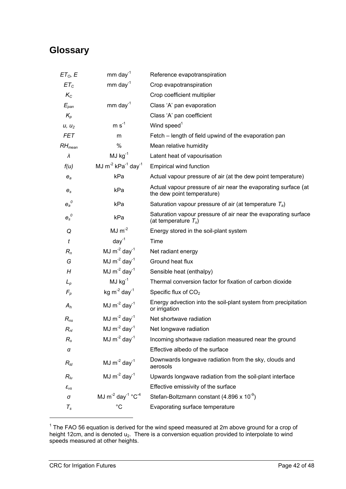# **Glossary**

| $ET_{O}$ , E        | $mm$ day <sup>-1</sup>                                   | Reference evapotranspiration                                                                 |
|---------------------|----------------------------------------------------------|----------------------------------------------------------------------------------------------|
| $ET_C$              | $mm$ day <sup>-1</sup>                                   | Crop evapotranspiration                                                                      |
| $K_C$               |                                                          | Crop coefficient multiplier                                                                  |
| $E_{pan}$           | $mm$ day <sup>-1</sup>                                   | Class 'A' pan evaporation                                                                    |
| $K_p$               |                                                          | Class 'A' pan coefficient                                                                    |
| $u, u_2$            | $m s-1$                                                  | Wind speed <sup>1</sup>                                                                      |
| <b>FET</b>          | m                                                        | Fetch – length of field upwind of the evaporation pan                                        |
| $RH_{mean}$         | %                                                        | Mean relative humidity                                                                       |
| $\lambda$           | $MJ$ kg <sup>-1</sup>                                    | Latent heat of vapourisation                                                                 |
| f(u)                | MJ $m^{-2}$ kPa <sup>-1</sup> day <sup>-1</sup>          | <b>Empirical wind function</b>                                                               |
| $e_a$               | kPa                                                      | Actual vapour pressure of air (at the dew point temperature)                                 |
| $e_s$               | kPa                                                      | Actual vapour pressure of air near the evaporating surface (at<br>the dew point temperature) |
| $e_a^{\;\;\prime}$  | kPa                                                      | Saturation vapour pressure of air (at temperature $T_a$ )                                    |
| $e_s^0$             | kPa                                                      | Saturation vapour pressure of air near the evaporating surface<br>(at temperature $T_s$ )    |
| Q                   | $MJ$ m <sup>-2</sup>                                     | Energy stored in the soil-plant system                                                       |
| t                   | $day^{-1}$                                               | Time                                                                                         |
| $R_{n}$             | MJ $m^{-2}$ day <sup>-1</sup>                            | Net radiant energy                                                                           |
| G                   | MJ $m^{-2}$ day <sup>-1</sup>                            | Ground heat flux                                                                             |
| H                   | MJ $m^{-2}$ day <sup>-1</sup>                            | Sensible heat (enthalpy)                                                                     |
| $L_p$               | $MJ$ kg <sup>-1</sup>                                    | Thermal conversion factor for fixation of carbon dioxide                                     |
| $F_p$               | kg m <sup>-2</sup> day <sup>-1</sup>                     | Specific flux of $CO2$                                                                       |
| $A_h$               | MJ $m^{-2}$ day <sup>-1</sup>                            | Energy advection into the soil-plant system from precipitation<br>or irrigation              |
| $R_{ns}$            | MJ $m^{-2}$ day <sup>-1</sup>                            | Net shortwave radiation                                                                      |
| $R_{nl}$            | MJ $m^{-2}$ day <sup>-1</sup>                            | Net longwave radiation                                                                       |
| $R_{\rm s}$         | MJ $m^{-2}$ day <sup>-1</sup>                            | Incoming shortwave radiation measured near the ground                                        |
| $\pmb{\alpha}$      |                                                          | Effective albedo of the surface                                                              |
| $R_{\text{ld}}$     | $MJ$ m <sup>-2</sup> day <sup>-1</sup>                   | Downwards longwave radiation from the sky, clouds and<br>aerosols                            |
| $R_{lu}$            | MJ $m^{-2}$ day <sup>-1</sup>                            | Upwards longwave radiation from the soil-plant interface                                     |
| $\epsilon_{\rm vs}$ |                                                          | Effective emissivity of the surface                                                          |
| $\sigma$            | MJ $m^{-2}$ day <sup>-1</sup> $^{\circ}$ C <sup>-4</sup> | Stefan-Boltzmann constant $(4.896 \times 10^{-9})$                                           |
| $T_{\mathsf{s}}$    | $^{\circ}C$                                              | Evaporating surface temperature                                                              |

 $1$  The FAO 56 equation is derived for the wind speed measured at 2m above ground for a crop of height 12cm, and is denoted  $u_2$ . There is a conversion equation provided to interpolate to wind speeds measured at other heights.

1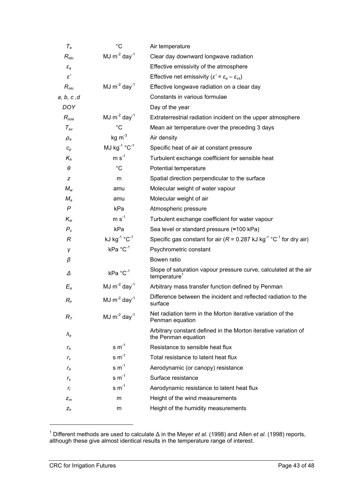| $T_a$                         | $^{\circ}C$                            | Air temperature                                                                               |
|-------------------------------|----------------------------------------|-----------------------------------------------------------------------------------------------|
| $R_{\text{Ido}}$              | MJ $m^{-2}$ day <sup>-1</sup>          | Clear day downward longwave radiation                                                         |
| $\varepsilon_a$               |                                        | Effective emissivity of the atmosphere                                                        |
| $\varepsilon'$                |                                        | Effective net emissivity ( $\varepsilon' = \varepsilon_a - \varepsilon_{vs}$ )                |
| $R_{nlo}$                     | MJ $m^{-2}$ day <sup>-1</sup>          | Effective longwave radiation on a clear day                                                   |
| a, b, c ,d                    |                                        | Constants in various formulae                                                                 |
| <b>DOY</b>                    |                                        | Day of the year                                                                               |
| $R_{soa}$                     | MJ $m^{-2}$ day <sup>-1</sup>          | Extraterrestrial radiation incident on the upper atmosphere                                   |
| $T_{\sf av}$                  | $^{\circ}C$                            | Mean air temperature over the preceding 3 days                                                |
| $\rho_{\scriptscriptstyle a}$ | $kg \, \text{m}^{-3}$                  | Air density                                                                                   |
| $c_p$                         | MJ $kg^{-1}$ °C <sup>-1</sup>          | Specific heat of air at constant pressure                                                     |
| $K_h$                         | $m s-1$                                | Turbulent exchange coefficient for sensible heat                                              |
| θ                             | $^{\circ}C$                            | Potential temperature                                                                         |
| z                             | m                                      | Spatial direction perpendicular to the surface                                                |
| $M_{\rm w}$                   | amu                                    | Molecular weight of water vapour                                                              |
| $M_{\rm a}$                   | amu                                    | Molecular weight of air                                                                       |
| $\boldsymbol{P}$              | kPa                                    | Atmospheric pressure                                                                          |
| $K_{w}$                       | $m s-1$                                | Turbulent exchange coefficient for water vapour                                               |
| $P_{s}$                       | kPa                                    | Sea level or standard pressure (≈100 kPa)                                                     |
| R                             | kJ kg $^{-1}$ °C $^{-1}$               | Specific gas constant for air ( $R = 0.287$ kJ kg <sup>-1</sup> °C <sup>-1</sup> for dry air) |
| γ                             | $kPa °C-1$                             | Psychrometric constant                                                                        |
| β                             |                                        | Bowen ratio                                                                                   |
| Δ                             | kPa °C-1                               | Slope of saturation vapour pressure curve, calculated at the air<br>temperature <sup>1</sup>  |
| $E_a$                         | MJ $m^{-2}$ day <sup>-1</sup>          | Arbitrary mass transfer function defined by Penman                                            |
| $R_{ir}$                      | $MJ$ m <sup>-2</sup> day <sup>-1</sup> | Difference between the incident and reflected radiation to the<br>surtace                     |
| $R_T$                         | MJ $m^{-2}$ day <sup>-1</sup>          | Net radiation term in the Morton iterative variation of the<br>Penman equation                |
| $\lambda_{\mathsf{a}}$        |                                        | Arbitrary constant defined in the Morton iterative variation of<br>the Penman equation        |
| $r_h$                         | s $m^{-1}$                             | Resistance to sensible heat flux                                                              |
| $r_{v}$                       | $\text{~s~m}^{-1}$                     | Total resistance to latent heat flux                                                          |
| $r_{\rm a}$                   | $\text{~s~m}^{-1}$                     | Aerodynamic (or canopy) resistance                                                            |
| $r_{\rm s}$                   | s $m^{-1}$                             | Surface resistance                                                                            |
| r <sub>1</sub>                | $\text{m}^{\text{-}1}$                 | Aerodynamic resistance to latent heat flux                                                    |
| $Z_m$                         | m                                      | Height of the wind measurements                                                               |
| $Z_h$                         | m                                      | Height of the humidity measurements                                                           |
|                               |                                        |                                                                                               |

<sup>1</sup> Different methods are used to calculate Δ in the Meyer *et al.* (1998) and Allen *et al.* (1998) reports, although these give almost identical results in the temperature range of interest.

-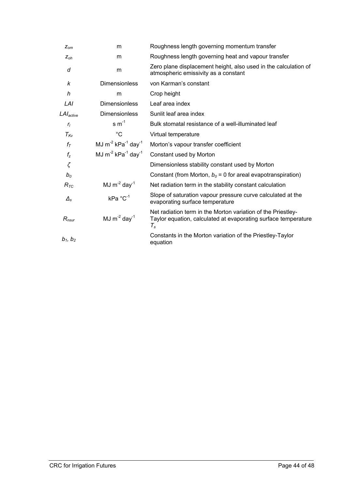| $Z_{\alpha m}$        | m                                               | Roughness length governing momentum transfer                                                                                                               |
|-----------------------|-------------------------------------------------|------------------------------------------------------------------------------------------------------------------------------------------------------------|
| $Z_{oh}$              | m                                               | Roughness length governing heat and vapour transfer                                                                                                        |
| d                     | m                                               | Zero plane displacement height, also used in the calculation of<br>atmospheric emissivity as a constant                                                    |
| k                     | <b>Dimensionless</b>                            | von Karman's constant                                                                                                                                      |
| $\hbar$               | m                                               | Crop height                                                                                                                                                |
| LAI                   | <b>Dimensionless</b>                            | Leaf area index                                                                                                                                            |
| LAI <sub>active</sub> | <b>Dimensionless</b>                            | Sunlit leaf area index                                                                                                                                     |
| r <sub>1</sub>        | $\text{~s~m}^{-1}$                              | Bulk stomatal resistance of a well-illuminated leaf                                                                                                        |
| $T_{\text{Kv}}$       | $^{\circ}C$                                     | Virtual temperature                                                                                                                                        |
| $f_T$                 | MJ $m^{-2}$ kPa <sup>-1</sup> day <sup>-1</sup> | Morton's vapour transfer coefficient                                                                                                                       |
| $f_{z}$               | MJ $m^{-2}$ kPa <sup>-1</sup> day <sup>-1</sup> | Constant used by Morton                                                                                                                                    |
| ζ                     |                                                 | Dimensionless stability constant used by Morton                                                                                                            |
| $b_o$                 |                                                 | Constant (from Morton, $b_0$ = 0 for areal evapotranspiration)                                                                                             |
| $R_{TC}$              | MJ $m^{-2}$ day <sup>-1</sup>                   | Net radiation term in the stability constant calculation                                                                                                   |
| $\Delta_{\rm s}$      | kPa °C-1                                        | Slope of saturation vapour pressure curve calculated at the<br>evaporating surface temperature                                                             |
| $R_{nsur}$            | MJ $m^{-2}$ day <sup>-1</sup>                   | Net radiation term in the Morton variation of the Priestley-<br>Taylor equation, calculated at evaporating surface temperature<br>$\tau_{\text{\tiny{s}}}$ |
| $b_1, b_2$            |                                                 | Constants in the Morton variation of the Priestley-Taylor<br>equation                                                                                      |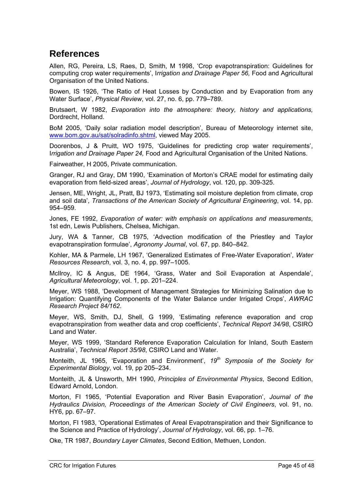# **References**

Allen, RG, Pereira, LS, Raes, D, Smith, M 1998, 'Crop evapotranspiration: Guidelines for computing crop water requirements', I*rrigation and Drainage Paper 56,* Food and Agricultural Organisation of the United Nations.

Bowen, IS 1926, 'The Ratio of Heat Losses by Conduction and by Evaporation from any Water Surface', *Physical Review*, vol. 27, no. 6, pp. 779–789.

Brutsaert, W 1982, *Evaporation into the atmosphere: theory, history and applications,* Dordrecht, Holland.

BoM 2005, 'Daily solar radiation model description', Bureau of Meteorology internet site, www.bom.gov.au/sat/solradinfo.shtml, viewed May 2005.

Doorenbos, J & Pruitt, WO 1975, 'Guidelines for predicting crop water requirements', I*rrigation and Drainage Paper 24,* Food and Agricultural Organisation of the United Nations.

Fairweather, H 2005, Private communication.

Granger, RJ and Gray, DM 1990, 'Examination of Morton's CRAE model for estimating daily evaporation from field-sized areas', *Journal of Hydrology*, vol. 120, pp. 309-325.

Jensen, ME, Wright, JL, Pratt, BJ 1973, 'Estimating soil moisture depletion from climate, crop and soil data', *Transactions of the American Society of Agricultural Engineering*, vol. 14, pp. 954–959.

Jones, FE 1992, *Evaporation of water: with emphasis on applications and measurements*, 1st edn, Lewis Publishers, Chelsea, Michigan.

Jury, WA & Tanner, CB 1975, 'Advection modification of the Priestley and Taylor evapotranspiration formulae', *Agronomy Journal*, vol. 67, pp. 840–842.

Kohler, MA & Parmele, LH 1967, 'Generalized Estimates of Free-Water Evaporation', *Water Resources Research*, vol. 3, no. 4, pp. 997–1005.

McIlroy, IC & Angus, DE 1964, 'Grass, Water and Soil Evaporation at Aspendale', *Agricultural Meteorology*, vol. 1, pp. 201–224.

Meyer, WS 1988, 'Development of Management Strategies for Minimizing Salination due to Irrigation: Quantifying Components of the Water Balance under Irrigated Crops', *AWRAC Research Project 84/162*.

Meyer, WS, Smith, DJ, Shell, G 1999, 'Estimating reference evaporation and crop evapotranspiration from weather data and crop coefficients', *Technical Report 34/98*, CSIRO Land and Water.

Meyer, WS 1999, 'Standard Reference Evaporation Calculation for Inland, South Eastern Australia', *Technical Report 35/98*, CSIRO Land and Water.

Monteith, JL 1965, 'Evaporation and Environment', *19th Symposia of the Society for Experimental Biology*, vol. 19, pp 205–234.

Monteith, JL & Unsworth, MH 1990, *Principles of Environmental Physics*, Second Edition, Edward Arnold, London.

Morton, FI 1965, 'Potential Evaporation and River Basin Evaporation', *Journal of the Hydraulics Division, Proceedings of the American Society of Civil Engineers*, vol. 91, no. HY6, pp. 67–97.

Morton, FI 1983, 'Operational Estimates of Areal Evapotranspiration and their Significance to the Science and Practice of Hydrology', *Journal of Hydrology*, vol. 66, pp. 1–76.

Oke, TR 1987, *Boundary Layer Climates*, Second Edition, Methuen, London.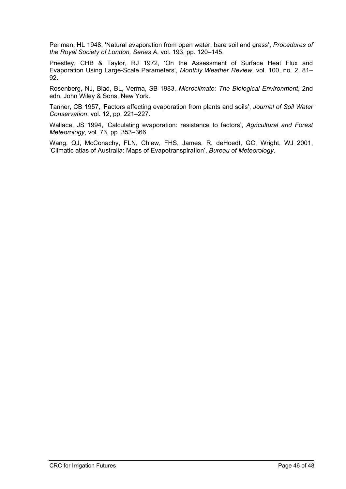Penman, HL 1948, 'Natural evaporation from open water, bare soil and grass', *Procedures of the Royal Society of London, Series A*, vol. 193, pp. 120–145.

Priestley, CHB & Taylor, RJ 1972, 'On the Assessment of Surface Heat Flux and Evaporation Using Large-Scale Parameters', *Monthly Weather Review*, vol. 100, no. 2, 81– 92.

Rosenberg, NJ, Blad, BL, Verma, SB 1983, *Microclimate: The Biological Environment*, 2nd edn, John Wiley & Sons, New York.

Tanner, CB 1957, 'Factors affecting evaporation from plants and soils', *Journal of Soil Water Conservation*, vol. 12, pp. 221–227.

Wallace, JS 1994, 'Calculating evaporation: resistance to factors', *Agricultural and Forest Meteorology*, vol. 73, pp. 353–366.

Wang, QJ, McConachy, FLN, Chiew, FHS, James, R, deHoedt, GC, Wright, WJ 2001, 'Climatic atlas of Australia: Maps of Evapotranspiration', *Bureau of Meteorology*.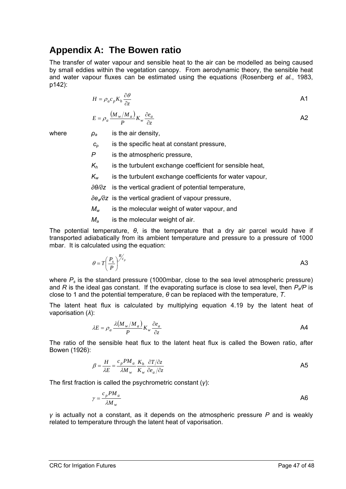# **Appendix A: The Bowen ratio**

The transfer of water vapour and sensible heat to the air can be modelled as being caused by small eddies within the vegetation canopy. From aerodynamic theory, the sensible heat and water vapour fluxes can be estimated using the equations (Rosenberg *et al.*, 1983, p142):

$$
H = \rho_a c_p K_h \frac{\partial \theta}{\partial z}
$$

$$
E = \rho_a \frac{\left(M_w / M_a\right)}{P} K_w \frac{\partial e_a}{\partial z}
$$

where  $\rho_a$  is the air density,

*cp* is the specific heat at constant pressure,

*P* is the atmospheric pressure,

*Kh* is the turbulent exchange coefficient for sensible heat,

*Kw* is the turbulent exchange coefficients for water vapour,

*∂θ/∂z* is the vertical gradient of potential temperature,

*∂ea/∂z* is the vertical gradient of vapour pressure,

*M<sub>w</sub>* is the molecular weight of water vapour, and

*Ma* is the molecular weight of air.

The potential temperature, *θ*, is the temperature that a dry air parcel would have if transported adiabatically from its ambient temperature and pressure to a pressure of 1000 mbar. It is calculated using the equation:

$$
\theta = T \left(\frac{P_s}{P}\right)^{R'_{C_p}} \tag{A3}
$$

where  $P_s$  is the standard pressure (1000mbar, close to the sea level atmospheric pressure) and *R* is the ideal gas constant. If the evaporating surface is close to sea level, then  $P_s/P$  is close to 1 and the potential temperature, *θ* can be replaced with the temperature, *T*.

The latent heat flux is calculated by multiplying equation 4.19 by the latent heat of vaporisation (*λ*):

$$
\lambda E = \rho_a \frac{\lambda (M_w / M_a)}{P} K_w \frac{\partial e_a}{\partial z}
$$

The ratio of the sensible heat flux to the latent heat flux is called the Bowen ratio, after Bowen (1926):

$$
\beta = \frac{H}{\lambda E} = \frac{c_p P M_a}{\lambda M_w} \frac{K_h}{K_w} \frac{\partial T/\partial z}{\partial e_a/\partial z}
$$

The first fraction is called the psychrometric constant (*γ*):

$$
\gamma = \frac{c_p P M_a}{\lambda M_w}
$$

*γ* is actually not a constant, as it depends on the atmospheric pressure *P* and is weakly related to temperature through the latent heat of vaporisation.